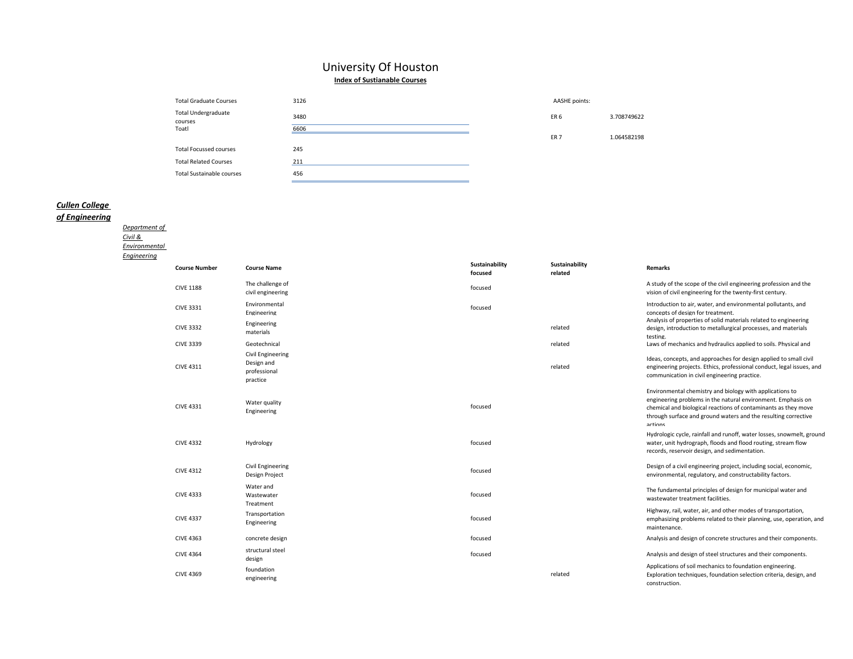# University Of Houston **Index of Sustianable Courses**

| <b>Total Graduate Courses</b>         | 3126 | AASHE points:   |             |
|---------------------------------------|------|-----------------|-------------|
| <b>Total Undergraduate</b><br>courses | 3480 | ER 6            | 3.708749622 |
| Toatl                                 | 6606 |                 |             |
|                                       |      | ER <sub>7</sub> | 1.064582198 |
| <b>Total Focussed courses</b>         | 245  |                 |             |
| <b>Total Related Courses</b>          | 211  |                 |             |
| <b>Total Sustainable courses</b>      | 456  |                 |             |
|                                       |      |                 |             |

# *Cullen College*

# *of Engineering*

*[Department of](http://www.egr.uh.edu/CIVE/)  [Civil &](http://www.egr.uh.edu/CIVE/)  [Environmental](http://www.egr.uh.edu/CIVE/)  [Engineering](http://www.egr.uh.edu/CIVE/)*

| <b>Course Number</b> | <b>Course Name</b>                                          | Sustainability<br>focused | Sustainability<br>related | <b>Remarks</b>                                                                                                                                                                                                                                                          |
|----------------------|-------------------------------------------------------------|---------------------------|---------------------------|-------------------------------------------------------------------------------------------------------------------------------------------------------------------------------------------------------------------------------------------------------------------------|
| <b>CIVE 1188</b>     | The challenge of<br>civil engineering                       | focused                   |                           | A study of the scope of the civil engineering profession and the<br>vision of civil engineering for the twenty-first century.                                                                                                                                           |
| <b>CIVE 3331</b>     | Environmental<br>Engineering                                | focused                   |                           | Introduction to air, water, and environmental pollutants, and<br>concepts of design for treatment.                                                                                                                                                                      |
| <b>CIVE 3332</b>     | Engineering<br>materials                                    |                           | related                   | Analysis of properties of solid materials related to engineering<br>design, introduction to metallurgical processes, and materials<br>testing.                                                                                                                          |
| <b>CIVE 3339</b>     | Geotechnical                                                |                           | related                   | Laws of mechanics and hydraulics applied to soils. Physical and                                                                                                                                                                                                         |
| <b>CIVE 4311</b>     | Civil Engineering<br>Design and<br>professional<br>practice |                           | related                   | Ideas, concepts, and approaches for design applied to small civil<br>engineering projects. Ethics, professional conduct, legal issues, and<br>communication in civil engineering practice.                                                                              |
| <b>CIVE 4331</b>     | Water quality<br>Engineering                                | focused                   |                           | Environmental chemistry and biology with applications to<br>engineering problems in the natural environment. Emphasis on<br>chemical and biological reactions of contaminants as they move<br>through surface and ground waters and the resulting corrective<br>actions |
| <b>CIVE 4332</b>     | Hydrology                                                   | focused                   |                           | Hydrologic cycle, rainfall and runoff, water losses, snowmelt, ground<br>water, unit hydrograph, floods and flood routing, stream flow<br>records, reservoir design, and sedimentation.                                                                                 |
| <b>CIVE 4312</b>     | Civil Engineering<br>Design Project                         | focused                   |                           | Design of a civil engineering project, including social, economic,<br>environmental, regulatory, and constructability factors.                                                                                                                                          |
| <b>CIVE 4333</b>     | Water and<br>Wastewater<br>Treatment                        | focused                   |                           | The fundamental principles of design for municipal water and<br>wastewater treatment facilities.                                                                                                                                                                        |
| <b>CIVE 4337</b>     | Transportation<br>Engineering                               | focused                   |                           | Highway, rail, water, air, and other modes of transportation,<br>emphasizing problems related to their planning, use, operation, and<br>maintenance.                                                                                                                    |
| <b>CIVE 4363</b>     | concrete design                                             | focused                   |                           | Analysis and design of concrete structures and their components.                                                                                                                                                                                                        |
| <b>CIVE 4364</b>     | structural steel<br>design                                  | focused                   |                           | Analysis and design of steel structures and their components.                                                                                                                                                                                                           |
| <b>CIVE 4369</b>     | foundation<br>engineering                                   |                           | related                   | Applications of soil mechanics to foundation engineering.<br>Exploration techniques, foundation selection criteria, design, and<br>construction.                                                                                                                        |

ER 7 1.064582198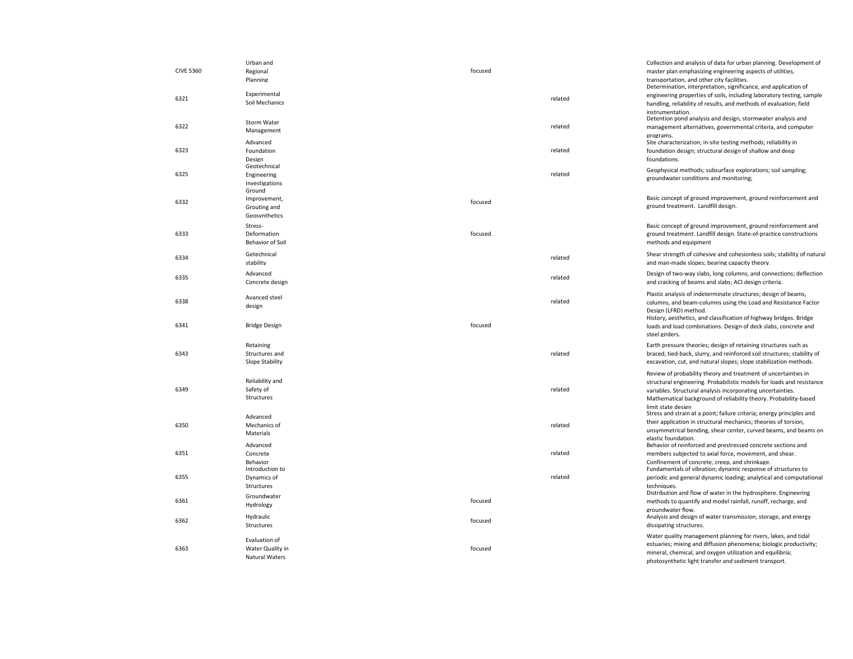| <b>CIVE 5360</b> | Urban and<br>Regional<br>Planning                          | focused |         | Collection and analysis of data for urban planning. Development of<br>master plan emphasizing engineering aspects of utilities,<br>transportation, and other city facilities.<br>Determination, interpretation, significance, and application of                                                   |
|------------------|------------------------------------------------------------|---------|---------|----------------------------------------------------------------------------------------------------------------------------------------------------------------------------------------------------------------------------------------------------------------------------------------------------|
| 6321             | Experimental<br>Soil Mechanics                             |         | related | engineering properties of soils, including laboratory testing, sample<br>handling, reliability of results, and methods of evaluation; field<br>instrumentation.                                                                                                                                    |
| 6322             | Storm Water<br>Management                                  |         | related | Detention pond analysis and design, stormwater analysis and<br>management alternatives, governmental criteria, and computer<br>programs.                                                                                                                                                           |
| 6323             | Advanced<br>Foundation<br>Design                           |         | related | Site characterization; in-site testing methods; reliability in<br>foundation design; structural design of shallow and deep<br>foundations.                                                                                                                                                         |
| 6325             | Geotechnical<br>Engineering<br>Investigations<br>Ground    |         | related | Geophysical methods; subsurface explorations; soil sampling;<br>groundwater conditions and monitoring;                                                                                                                                                                                             |
| 6332             | Improvement,<br>Grouting and<br>Geosynthetics              | focused |         | Basic concept of ground improvement, ground reinforcement and<br>ground treatment. Landfill design.                                                                                                                                                                                                |
| 6333             | Stress-<br>Deformation<br>Behavior of Soil                 | focused |         | Basic concept of ground improvement, ground reinforcement and<br>ground treatment. Landfill design. State-of-practice constructions<br>methods and equipment                                                                                                                                       |
| 6334             | Getechnical<br>stability                                   |         | related | Shear strength of cohesive and cohesionless soils; stability of natural<br>and man-made slopes; bearing capacity theory.                                                                                                                                                                           |
| 6335             | Advanced<br>Concrete design                                |         | related | Design of two-way slabs, long columns, and connections; deflection<br>and cracking of beams and slabs; ACI design criteria.                                                                                                                                                                        |
| 6338             | Avanced steel<br>design                                    |         | related | Plastic analysis of indeterminate structures; design of beams,<br>columns, and beam-columns using the Load and Resistance Factor<br>Design (LFRD) method.<br>History, aesthetics, and classification of highway bridges. Bridge                                                                    |
| 6341             | <b>Bridge Design</b>                                       | focused |         | loads and load combinations. Design of deck slabs, concrete and<br>steel girders.                                                                                                                                                                                                                  |
| 6343             | Retaining<br>Structures and<br>Slope Stability             |         | related | Earth pressure theories; design of retaining structures such as<br>braced, tied-back, slurry, and reinforced soil structures; stability of<br>excavation, cut, and natural slopes; slope stabilization methods.                                                                                    |
| 6349             | Reliability and<br>Safety of<br>Structures                 |         | related | Review of probability theory and treatment of uncertainties in<br>structural engineering. Probabilistic models for loads and resistance<br>variables. Structural analysis incorporating uncertainties.<br>Mathematical background of reliability theory. Probability-based<br>limit state design   |
| 6350             | Advanced<br>Mechanics of<br>Materials<br>Advanced          |         | related | Stress and strain at a point; failure criteria; energy principles and<br>their application in structural mechanics; theories of torsion,<br>unsymmetrical bending, shear center, curved beams, and beams on<br>elastic foundation.<br>Behavior of reinforced and prestressed concrete sections and |
| 6351             | Concrete<br>Behavior<br>Introduction to                    |         | related | members subjected to axial force, movement, and shear.<br>Confinement of concrete. creep. and shrinkage.<br>Fundamentals of vibration; dynamic response of structures to                                                                                                                           |
| 6355             | Dynamics of<br>Structures                                  |         | related | periodic and general dynamic loading; analytical and computational<br>techniques.                                                                                                                                                                                                                  |
| 6361             | Groundwater<br>Hydrology                                   | focused |         | Distribution and flow of water in the hydrosphere. Engineering<br>methods to quantify and model rainfall, runoff, recharge, and<br>groundwater flow.                                                                                                                                               |
| 6362             | Hydraulic<br>Structures                                    | focused |         | Analysis and design of water transmission, storage, and energy<br>dissipating structures.                                                                                                                                                                                                          |
| 6363             | Evaluation of<br>Water Quality in<br><b>Natural Waters</b> | focused |         | Water quality management planning for rivers, lakes, and tidal<br>estuaries; mixing and diffusion phenomena; biologic productivity;<br>mineral, chemical, and oxygen utilization and equilibria;<br>photosynthetic light transfer and sediment transport.                                          |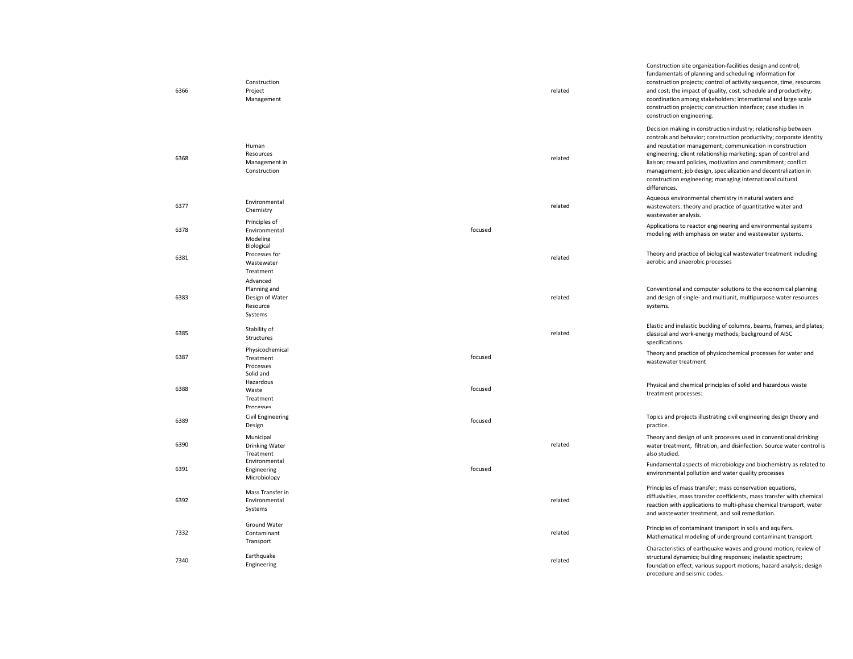| 6366 | Construction<br>Project<br>Management                              |         | related | Construction site organization-facilities design and control;<br>fundamentals of planning and scheduling information for<br>construction projects; control of activity sequence, time, resources<br>and cost; the impact of quality, cost, schedule and productivity;<br>coordination among stakeholders; international and large scale<br>construction projects; construction interface; case studies in<br>construction engineering.                                                |
|------|--------------------------------------------------------------------|---------|---------|---------------------------------------------------------------------------------------------------------------------------------------------------------------------------------------------------------------------------------------------------------------------------------------------------------------------------------------------------------------------------------------------------------------------------------------------------------------------------------------|
| 6368 | Human<br>Resources<br>Management in<br>Construction                |         | related | Decision making in construction industry; relationship between<br>controls and behavior; construction productivity; corporate identity<br>and reputation management; communication in construction<br>engineering; client relationship marketing; span of control and<br>liaison; reward policies, motivation and commitment; conflict<br>management; job design, specialization and decentralization in<br>construction engineering; managing international cultural<br>differences. |
| 6377 | Environmental<br>Chemistry                                         |         | related | Aqueous environmental chemistry in natural waters and<br>wastewaters: theory and practice of quantitative water and<br>wastewater analysis.                                                                                                                                                                                                                                                                                                                                           |
| 6378 | Principles of<br>Environmental<br>Modeling                         | focused |         | Applications to reactor engineering and environmental systems<br>modeling with emphasis on water and wastewater systems.                                                                                                                                                                                                                                                                                                                                                              |
| 6381 | Biological<br>Processes for<br>Wastewater<br>Treatment             |         | related | Theory and practice of biological wastewater treatment including<br>aerobic and anaerobic processes                                                                                                                                                                                                                                                                                                                                                                                   |
| 6383 | Advanced<br>Planning and<br>Design of Water<br>Resource<br>Systems |         | related | Conventional and computer solutions to the economical planning<br>and design of single- and multiunit, multipurpose water resources<br>systems.                                                                                                                                                                                                                                                                                                                                       |
| 6385 | Stability of<br>Structures                                         |         | related | Elastic and inelastic buckling of columns, beams, frames, and plates;<br>classical and work-energy methods; background of AISC<br>specifications.                                                                                                                                                                                                                                                                                                                                     |
| 6387 | Physicochemical<br>Treatment<br>Processes<br>Solid and             | focused |         | Theory and practice of physicochemical processes for water and<br>wastewater treatment                                                                                                                                                                                                                                                                                                                                                                                                |
| 6388 | Hazardous<br>Waste<br>Treatment<br>Processes                       | focused |         | Physical and chemical principles of solid and hazardous waste<br>treatment processes:                                                                                                                                                                                                                                                                                                                                                                                                 |
| 6389 | <b>Civil Engineering</b><br>Design                                 | focused |         | Topics and projects illustrating civil engineering design theory and<br>practice.                                                                                                                                                                                                                                                                                                                                                                                                     |
| 6390 | Municipal<br><b>Drinking Water</b><br>Treatment                    |         | related | Theory and design of unit processes used in conventional drinking<br>water treatment, filtration, and disinfection. Source water control is<br>also studied.                                                                                                                                                                                                                                                                                                                          |
| 6391 | Environmental<br>Engineering<br>Microbiology                       | focused |         | Fundamental aspects of microbiology and biochemistry as related to<br>environmental pollution and water quality processes                                                                                                                                                                                                                                                                                                                                                             |
| 6392 | Mass Transfer in<br>Environmental<br>Systems                       |         | related | Principles of mass transfer; mass conservation equations,<br>diffusivities, mass transfer coefficients, mass transfer with chemical<br>reaction with applications to multi-phase chemical transport, water<br>and wastewater treatment, and soil remediation.                                                                                                                                                                                                                         |
| 7332 | Ground Water<br>Contaminant<br>Transport                           |         | related | Principles of contaminant transport in soils and aquifers.<br>Mathematical modeling of underground contaminant transport.                                                                                                                                                                                                                                                                                                                                                             |
| 7340 | Earthquake<br>Engineering                                          |         | related | Characteristics of earthquake waves and ground motion; review of<br>structural dynamics; building responses; inelastic spectrum;<br>foundation effect; various support motions; hazard analysis; design<br>procedure and seismic codes.                                                                                                                                                                                                                                               |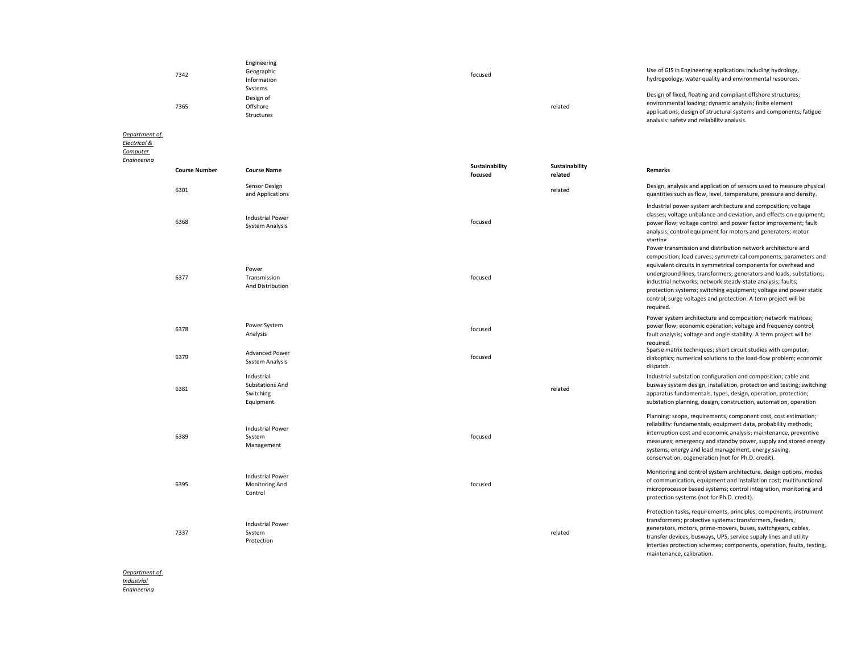| 7342 | Engineering<br>Geographic<br>Information<br>Systems | focused | Use of GIS in Engineering applications including hydrology,<br>hydrogeology, water quality and environmental resources.                                                                                                                     |
|------|-----------------------------------------------------|---------|---------------------------------------------------------------------------------------------------------------------------------------------------------------------------------------------------------------------------------------------|
| 7365 | Design of<br>Offshore<br>Structures                 | related | Design of fixed, floating and compliant offshore structures;<br>environmental loading; dynamic analysis; finite element<br>applications; design of structural systems and components; fatigue<br>analysis: safety and reliability analysis. |

*[Department of](http://www.egr.uh.edu/ECE/)* 

*[Electrical &](http://www.egr.uh.edu/ECE/)* 

*[Computer](http://www.egr.uh.edu/ECE/)*  **Engineeri** 

| rina |                      |                                                                |                           |                           |                                                                                                                                                                                                                                                                                                                                                                                                                                                                                              |
|------|----------------------|----------------------------------------------------------------|---------------------------|---------------------------|----------------------------------------------------------------------------------------------------------------------------------------------------------------------------------------------------------------------------------------------------------------------------------------------------------------------------------------------------------------------------------------------------------------------------------------------------------------------------------------------|
|      | <b>Course Number</b> | <b>Course Name</b>                                             | Sustainability<br>focused | Sustainability<br>related | Remarks                                                                                                                                                                                                                                                                                                                                                                                                                                                                                      |
|      | 6301                 | Sensor Design<br>and Applications                              |                           | related                   | Design, analysis and application of sensors used to measure physical<br>quantities such as flow, level, temperature, pressure and density.                                                                                                                                                                                                                                                                                                                                                   |
|      | 6368                 | <b>Industrial Power</b><br><b>System Analysis</b>              | focused                   |                           | Industrial power system architecture and composition; voltage<br>classes; voltage unbalance and deviation, and effects on equipment;<br>power flow; voltage control and power factor improvement; fault<br>analysis; control equipment for motors and generators; motor<br>starting                                                                                                                                                                                                          |
|      | 6377                 | Power<br>Transmission<br>And Distribution                      | focused                   |                           | Power transmission and distribution network architecture and<br>composition; load curves; symmetrical components; parameters and<br>equivalent circuits in symmetrical components for overhead and<br>underground lines, transformers, generators and loads; substations;<br>industrial networks; network steady-state analysis; faults;<br>protection systems; switching equipment; voltage and power static<br>control; surge voltages and protection. A term project will be<br>required. |
|      | 6378                 | Power System<br>Analysis                                       | focused                   |                           | Power system architecture and composition; network matrices;<br>power flow; economic operation; voltage and frequency control;<br>fault analysis; voltage and angle stability. A term project will be<br>required.                                                                                                                                                                                                                                                                           |
|      | 6379                 | <b>Advanced Power</b><br><b>System Analysis</b>                | focused                   |                           | Sparse matrix techniques; short circuit studies with computer;<br>diakoptics; numerical solutions to the load-flow problem; economic<br>dispatch.                                                                                                                                                                                                                                                                                                                                            |
|      | 6381                 | Industrial<br><b>Substations And</b><br>Switching<br>Equipment |                           | related                   | Industrial substation configuration and composition; cable and<br>busway system design, installation, protection and testing; switching<br>apparatus fundamentals, types, design, operation, protection;<br>substation planning, design, construction, automation, operation                                                                                                                                                                                                                 |
|      | 6389                 | <b>Industrial Power</b><br>System<br>Management                | focused                   |                           | Planning: scope, requirements, component cost, cost estimation;<br>reliability: fundamentals, equipment data, probability methods;<br>interruption cost and economic analysis; maintenance, preventive<br>measures; emergency and standby power, supply and stored energy<br>systems; energy and load management, energy saving,<br>conservation, cogeneration (not for Ph.D. credit).                                                                                                       |
|      | 6395                 | <b>Industrial Power</b><br>Monitoring And<br>Control           | focused                   |                           | Monitoring and control system architecture, design options, modes<br>of communication, equipment and installation cost; multifunctional<br>microprocessor based systems; control integration, monitoring and<br>protection systems (not for Ph.D. credit).                                                                                                                                                                                                                                   |
|      | 7337                 | <b>Industrial Power</b><br>System<br>Protection                |                           | related                   | Protection tasks, requirements, principles, components; instrument<br>transformers; protective systems: transformers, feeders,<br>generators, motors, prime-movers, buses, switchgears, cables,<br>transfer devices, busways, UPS, service supply lines and utility<br>interties protection schemes; components, operation, faults, testing,<br>maintenance, calibration.                                                                                                                    |

*[Department of](http://www.egr.uh.edu/IE/)* 

*[Industrial](http://www.egr.uh.edu/IE/)* 

*[Engineering](http://www.egr.uh.edu/IE/)*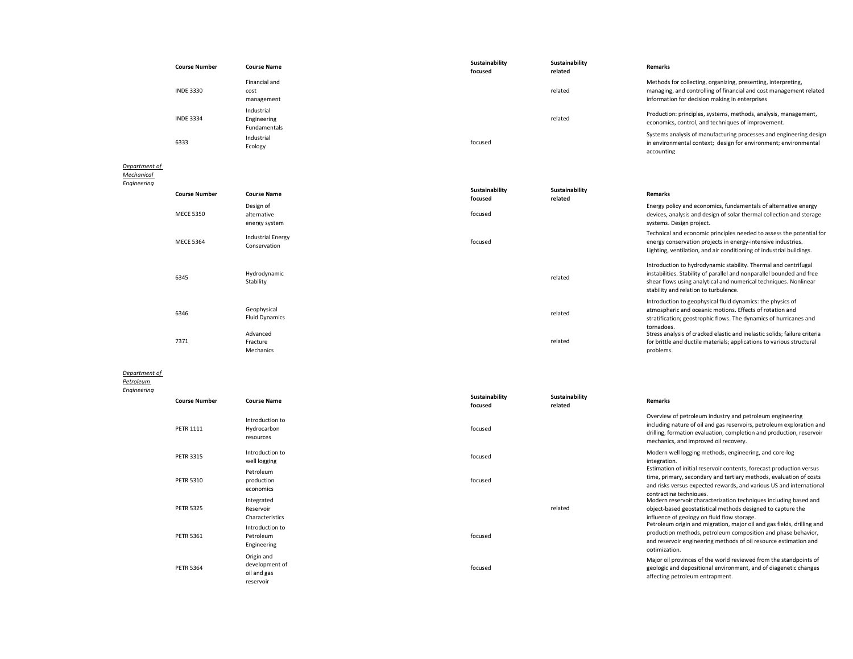| <b>Course Number</b> | <b>Course Name</b>                        | Sustainability<br>focused | Sustainability<br>related | <b>Remarks</b>                                                                                                                                                                        |
|----------------------|-------------------------------------------|---------------------------|---------------------------|---------------------------------------------------------------------------------------------------------------------------------------------------------------------------------------|
| <b>INDE 3330</b>     | Financial and<br>cost<br>management       |                           | related                   | Methods for collecting, organizing, presenting, interpreting,<br>managing, and controlling of financial and cost management related<br>information for decision making in enterprises |
| <b>INDE 3334</b>     | Industrial<br>Engineering<br>Fundamentals |                           | related                   | Production: principles, systems, methods, analysis, management,<br>economics, control, and techniques of improvement.                                                                 |
| 6333                 | Industrial<br>Ecology                     | focused                   |                           | Systems analysis of manufacturing processes and engineering design<br>in environmental context; design for environment; environmental<br>accounting                                   |

#### *[Department of](http://www.egr.uh.edu/me/)  [Mechanical](http://www.egr.uh.edu/me/)*

*[Engineering](http://www.egr.uh.edu/me/)*

| <b>Course Number</b> | <b>Course Name</b>                        | Sustainability<br>focused | Sustainability<br>related | <b>Remarks</b>                                                                                                                                                                                                                                        |
|----------------------|-------------------------------------------|---------------------------|---------------------------|-------------------------------------------------------------------------------------------------------------------------------------------------------------------------------------------------------------------------------------------------------|
| <b>MECE 5350</b>     | Design of<br>alternative<br>energy system | focused                   |                           | Energy policy and economics, fundamentals of alternative energy<br>devices, analysis and design of solar thermal collection and storage<br>systems. Design project.                                                                                   |
| <b>MECE 5364</b>     | <b>Industrial Energy</b><br>Conservation  | focused                   |                           | Technical and economic principles needed to assess the potential for<br>energy conservation projects in energy-intensive industries.<br>Lighting, ventilation, and air conditioning of industrial buildings.                                          |
| 6345                 | Hydrodynamic<br>Stability                 |                           | related                   | Introduction to hydrodynamic stability. Thermal and centrifugal<br>instabilities. Stability of parallel and nonparallel bounded and free<br>shear flows using analytical and numerical techniques. Nonlinear<br>stability and relation to turbulence. |
| 6346                 | Geophysical<br><b>Fluid Dynamics</b>      |                           | related                   | Introduction to geophysical fluid dynamics: the physics of<br>atmospheric and oceanic motions. Effects of rotation and<br>stratification; geostrophic flows. The dynamics of hurricanes and<br>tornadoes.                                             |
| 7371                 | Advanced<br>Fracture<br>Mechanics         |                           | related                   | Stress analysis of cracked elastic and inelastic solids; failure criteria<br>for brittle and ductile materials; applications to various structural<br>problems.                                                                                       |

### *Department of*

*Petroleum* 

## *Engineering*

| сенни | <b>Course Number</b> | <b>Course Name</b>                                       | Sustainability<br>focused | Sustainability<br>related | <b>Remarks</b>                                                                                                                                                                                                                                     |
|-------|----------------------|----------------------------------------------------------|---------------------------|---------------------------|----------------------------------------------------------------------------------------------------------------------------------------------------------------------------------------------------------------------------------------------------|
|       | <b>PETR 1111</b>     | Introduction to<br>Hydrocarbon<br>resources              | focused                   |                           | Overview of petroleum industry and petroleum engineering<br>including nature of oil and gas reservoirs, petroleum exploration and<br>drilling, formation evaluation, completion and production, reservoir<br>mechanics, and improved oil recovery. |
|       | <b>PETR 3315</b>     | Introduction to<br>well logging                          | focused                   |                           | Modern well logging methods, engineering, and core-log<br>integration.                                                                                                                                                                             |
|       | <b>PETR 5310</b>     | Petroleum<br>production<br>economics                     | focused                   |                           | Estimation of initial reservoir contents, forecast production versus<br>time, primary, secondary and tertiary methods, evaluation of costs<br>and risks versus expected rewards, and various US and international<br>contracting techniques.       |
|       | <b>PETR 5325</b>     | Integrated<br>Reservoir<br>Characteristics               |                           | related                   | Modern reservoir characterization techniques including based and<br>object-based geostatistical methods designed to capture the<br>influence of geology on fluid flow storage.                                                                     |
|       | <b>PETR 5361</b>     | Introduction to<br>Petroleum<br>Engineering              | focused                   |                           | Petroleum origin and migration, major oil and gas fields, drilling and<br>production methods, petroleum composition and phase behavior,<br>and reservoir engineering methods of oil resource estimation and<br>optimization.                       |
|       | <b>PETR 5364</b>     | Origin and<br>development of<br>oil and gas<br>reservoir | focused                   |                           | Major oil provinces of the world reviewed from the standpoints of<br>geologic and depositional environment, and of diagenetic changes<br>affecting petroleum entrapment.                                                                           |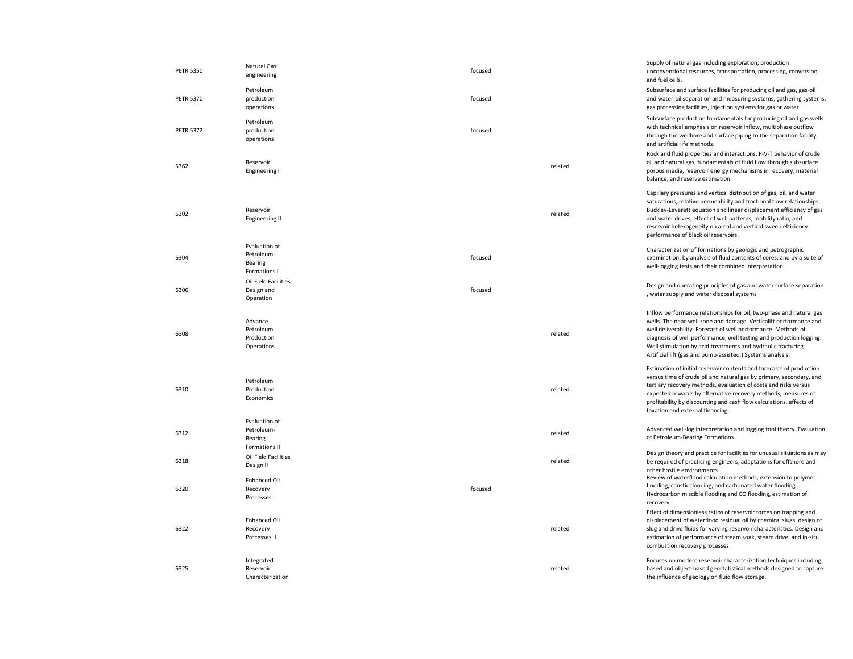| <b>PETR 5350</b> | Natural Gas<br>engineering                              | focused |         | Supply of natural gas including exploration, production<br>unconventional resources, transportation, processing, conversion,<br>and fuel cells.                                                                                                                                                                                                                                                                 |
|------------------|---------------------------------------------------------|---------|---------|-----------------------------------------------------------------------------------------------------------------------------------------------------------------------------------------------------------------------------------------------------------------------------------------------------------------------------------------------------------------------------------------------------------------|
| <b>PETR 5370</b> | Petroleum<br>production<br>operations                   | focused |         | Subsurface and surface facilities for producing oil and gas, gas-oil<br>and water-oil separation and measuring systems, gathering systems,<br>gas processing facilities, injection systems for gas or water.                                                                                                                                                                                                    |
| <b>PETR 5372</b> | Petroleum<br>production<br>operations                   | focused |         | Subsurface production fundamentals for producing oil and gas wells<br>with technical emphasis on reservoir inflow, multiphase outflow<br>through the wellbore and surface piping to the separation facility,<br>and artificial life methods.                                                                                                                                                                    |
| 5362             | Reservoir<br>Engineering I                              |         | related | Rock and fluid properties and interactions, P-V-T behavior of crude<br>oil and natural gas, fundamentals of fluid flow through subsurface<br>porous media, reservoir energy mechanisms in recovery, material<br>balance, and reserve estimation.                                                                                                                                                                |
| 6302             | Reservoir<br><b>Engineering II</b>                      |         | related | Capillary pressures and vertical distribution of gas, oil, and water<br>saturations, relative permeability and fractional flow relationships,<br>Buckley-Leverett equation and linear displacement efficiency of gas<br>and water drives; effect of well patterns, mobility ratio, and<br>reservoir heterogeneity on areal and vertical sweep efficiency<br>performance of black oil reservoirs.                |
| 6304             | Evaluation of<br>Petroleum-<br>Bearing<br>Formations I  | focused |         | Characterization of formations by geologic and petrographic<br>examination; by analysis of fluid contents of cores; and by a suite of<br>well-logging tests and their combined interpretation.                                                                                                                                                                                                                  |
| 6306             | Oil Field Facilities<br>Design and<br>Operation         | focused |         | Design and operating principles of gas and water surface separation<br>, water supply and water disposal systems                                                                                                                                                                                                                                                                                                |
| 6308             | Advance<br>Petroleum<br>Production<br>Operations        |         | related | Inflow performance relationships for oil, two-phase and natural gas<br>wells. The near-well zone and damage. Verticalift performance and<br>well deliverability. Forecast of well performance. Methods of<br>diagnosis of well performance, well testing and production logging.<br>Well stimulation by acid treatments and hydraulic fracturing.<br>Artificial lift (gas and pump-assisted.) Systems analysis. |
| 6310             | Petroleum<br>Production<br>Economics                    |         | related | Estimation of initial reservoir contents and forecasts of production<br>versus time of crude oil and natural gas by primary, secondary, and<br>tertiary recovery methods, evaluation of costs and risks versus<br>expected rewards by alternative recovery methods, measures of<br>profitability by discounting and cash flow calculations, effects of<br>taxation and external financing.                      |
| 6312             | Evaluation of<br>Petroleum-<br>Bearing<br>Formations II |         | related | Advanced well-log interpretation and logging tool theory. Evaluation<br>of Petroleum-Bearing Formations.                                                                                                                                                                                                                                                                                                        |
| 6318             | Oil Field Facilities<br>Design II                       |         | related | Design theory and practice for facilities for unusual situations as may<br>be required of practicing engineers; adaptations for offshore and<br>other hostile environments.                                                                                                                                                                                                                                     |
| 6320             | <b>Enhanced Oil</b><br>Recovery<br>Processes I          | focused |         | Review of waterflood calculation methods, extension to polymer<br>flooding, caustic flooding, and carbonated water flooding.<br>Hydrocarbon miscible flooding and CO flooding, estimation of<br>recovery                                                                                                                                                                                                        |
| 6322             | <b>Enhanced Oil</b><br>Recovery<br>Processes II         |         | related | Effect of dimensionless ratios of reservoir forces on trapping and<br>displacement of waterflood residual oil by chemical slugs, design of<br>slug and drive fluids for varying reservoir characteristics. Design and<br>estimation of performance of steam soak, steam drive, and in-situ<br>combustion recovery processes.                                                                                    |
| 6325             | Integrated<br>Reservoir<br>Characterization             |         | related | Focuses on modern reservoir characterization techniques including<br>based and object-based geostatistical methods designed to capture<br>the influence of geology on fluid flow storage.                                                                                                                                                                                                                       |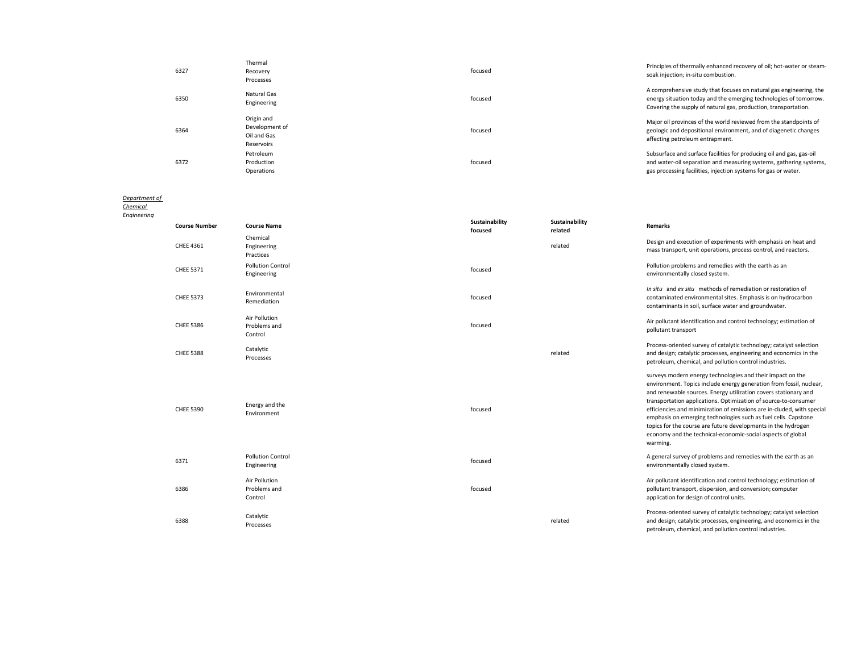| 6327 | Thermal<br>Recovery<br>Processes                          | focused | Principles of thermally enhanced recovery of oil; hot-water or steam-<br>soak injection; in-situ combustion.                                                                                                 |
|------|-----------------------------------------------------------|---------|--------------------------------------------------------------------------------------------------------------------------------------------------------------------------------------------------------------|
| 6350 | Natural Gas<br>Engineering                                | focused | A comprehensive study that focuses on natural gas engineering, the<br>energy situation today and the emerging technologies of tomorrow.<br>Covering the supply of natural gas, production, transportation.   |
| 6364 | Origin and<br>Development of<br>Oil and Gas<br>Reservoirs | focused | Major oil provinces of the world reviewed from the standpoints of<br>geologic and depositional environment, and of diagenetic changes<br>affecting petroleum entrapment.                                     |
| 6372 | Petroleum<br>Production<br>Operations                     | focused | Subsurface and surface facilities for producing oil and gas, gas-oil<br>and water-oil separation and measuring systems, gathering systems,<br>gas processing facilities, injection systems for gas or water. |

#### *Department of*

*Chemical Enginee* 

| ering |                      |                                          |                           |                           |                                                                                                                                                                                                                                                                                                                                                                                                                                                                                                                                                                 |
|-------|----------------------|------------------------------------------|---------------------------|---------------------------|-----------------------------------------------------------------------------------------------------------------------------------------------------------------------------------------------------------------------------------------------------------------------------------------------------------------------------------------------------------------------------------------------------------------------------------------------------------------------------------------------------------------------------------------------------------------|
|       | <b>Course Number</b> | <b>Course Name</b>                       | Sustainability<br>focused | Sustainability<br>related | <b>Remarks</b>                                                                                                                                                                                                                                                                                                                                                                                                                                                                                                                                                  |
|       | CHEE 4361            | Chemical<br>Engineering<br>Practices     |                           | related                   | Design and execution of experiments with emphasis on heat and<br>mass transport, unit operations, process control, and reactors.                                                                                                                                                                                                                                                                                                                                                                                                                                |
|       | <b>CHEE 5371</b>     | <b>Pollution Control</b><br>Engineering  | focused                   |                           | Pollution problems and remedies with the earth as an<br>environmentally closed system.                                                                                                                                                                                                                                                                                                                                                                                                                                                                          |
|       | <b>CHEE 5373</b>     | Environmental<br>Remediation             | focused                   |                           | In situ and ex situ methods of remediation or restoration of<br>contaminated environmental sites. Emphasis is on hydrocarbon<br>contaminants in soil, surface water and groundwater.                                                                                                                                                                                                                                                                                                                                                                            |
|       | <b>CHEE 5386</b>     | Air Pollution<br>Problems and<br>Control | focused                   |                           | Air pollutant identification and control technology; estimation of<br>pollutant transport                                                                                                                                                                                                                                                                                                                                                                                                                                                                       |
|       | <b>CHEE 5388</b>     | Catalytic<br>Processes                   |                           | related                   | Process-oriented survey of catalytic technology; catalyst selection<br>and design; catalytic processes, engineering and economics in the<br>petroleum, chemical, and pollution control industries.                                                                                                                                                                                                                                                                                                                                                              |
|       | <b>CHEE 5390</b>     | Energy and the<br>Environment            | focused                   |                           | surveys modern energy technologies and their impact on the<br>environment. Topics include energy generation from fossil, nuclear,<br>and renewable sources. Energy utilization covers stationary and<br>transportation applications. Optimization of source-to-consumer<br>efficiencies and minimization of emissions are in-cluded, with special<br>emphasis on emerging technologies such as fuel cells. Capstone<br>topics for the course are future developments in the hydrogen<br>economy and the technical-economic-social aspects of global<br>warming. |
|       | 6371                 | <b>Pollution Control</b><br>Engineering  | focused                   |                           | A general survey of problems and remedies with the earth as an<br>environmentally closed system.                                                                                                                                                                                                                                                                                                                                                                                                                                                                |
|       | 6386                 | Air Pollution<br>Problems and<br>Control | focused                   |                           | Air pollutant identification and control technology; estimation of<br>pollutant transport, dispersion, and conversion; computer<br>application for design of control units.                                                                                                                                                                                                                                                                                                                                                                                     |
|       | 6388                 | Catalytic<br>Processes                   |                           | related                   | Process-oriented survey of catalytic technology; catalyst selection<br>and design; catalytic processes, engineering, and economics in the<br>petroleum, chemical, and pollution control industries.                                                                                                                                                                                                                                                                                                                                                             |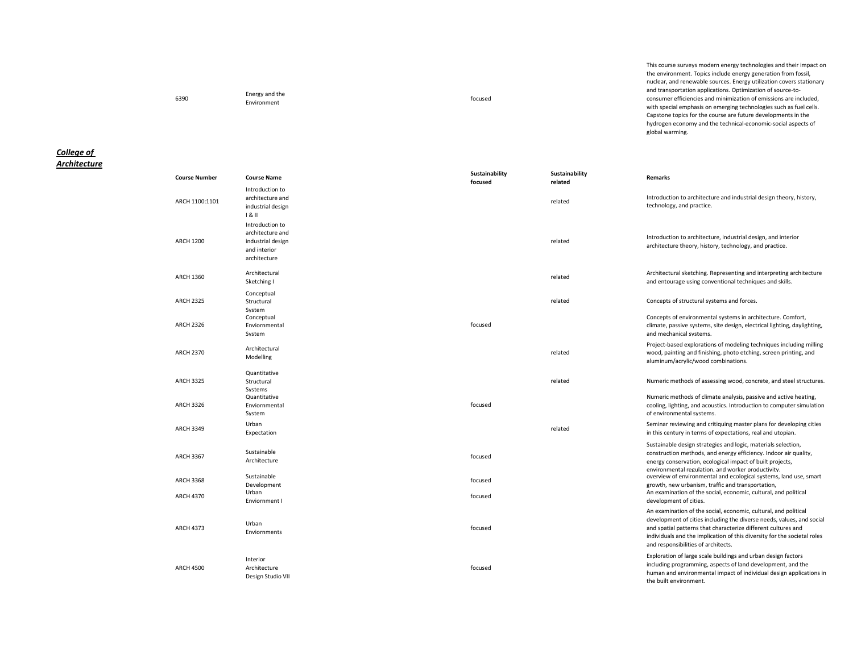<sup>6390</sup> Energy and the energy and the control of the control of the control of the control of the control of the control of the control of the control of the control of the control of the control of the control of the control of the control of t

This course surveys modern energy technologies and their impact on the environment. Topics include energy generation from fossil, nuclear, and renewable sources. Energy utilization covers stationary and transportation applications. Optimization of source-toconsumer efficiencies and minimization of emissions are included, with special emphasis on emerging technologies such as fuel cells. Capstone topics for the course are future developments in the hydrogen economy and the technical-economic-social aspects of global warming.

## *College of Architecture*

| <b>Course Number</b> | <b>Course Name</b>                                                                       | Sustainability<br>focused | Sustainability<br>related | Remarks                                                                                                                                                                                                                                                                                                                      |
|----------------------|------------------------------------------------------------------------------------------|---------------------------|---------------------------|------------------------------------------------------------------------------------------------------------------------------------------------------------------------------------------------------------------------------------------------------------------------------------------------------------------------------|
| ARCH 1100:1101       | Introduction to<br>architecture and<br>industrial design<br>181                          |                           | related                   | Introduction to architecture and industrial design theory, history,<br>technology, and practice.                                                                                                                                                                                                                             |
| <b>ARCH 1200</b>     | Introduction to<br>architecture and<br>industrial design<br>and interior<br>architecture |                           | related                   | Introduction to architecture, industrial design, and interior<br>architecture theory, history, technology, and practice.                                                                                                                                                                                                     |
| <b>ARCH 1360</b>     | Architectural<br>Sketching I                                                             |                           | related                   | Architectural sketching. Representing and interpreting architecture<br>and entourage using conventional techniques and skills.                                                                                                                                                                                               |
| <b>ARCH 2325</b>     | Conceptual<br>Structural<br>Svstem                                                       |                           | related                   | Concepts of structural systems and forces.                                                                                                                                                                                                                                                                                   |
| <b>ARCH 2326</b>     | Conceptual<br>Enviornmental<br>System                                                    | focused                   |                           | Concepts of environmental systems in architecture. Comfort,<br>climate, passive systems, site design, electrical lighting, daylighting,<br>and mechanical systems.                                                                                                                                                           |
| <b>ARCH 2370</b>     | Architectural<br>Modelling                                                               |                           | related                   | Project-based explorations of modeling techniques including milling<br>wood, painting and finishing, photo etching, screen printing, and<br>aluminum/acrylic/wood combinations.                                                                                                                                              |
| <b>ARCH 3325</b>     | Quantitative<br>Structural<br>Systems                                                    |                           | related                   | Numeric methods of assessing wood, concrete, and steel structures.                                                                                                                                                                                                                                                           |
| <b>ARCH 3326</b>     | Quantitative<br>Enviornmental<br>Svstem                                                  | focused                   |                           | Numeric methods of climate analysis, passive and active heating,<br>cooling, lighting, and acoustics. Introduction to computer simulation<br>of environmental systems.                                                                                                                                                       |
| <b>ARCH 3349</b>     | Urban<br>Expectation                                                                     |                           | related                   | Seminar reviewing and critiquing master plans for developing cities<br>in this century in terms of expectations, real and utopian.                                                                                                                                                                                           |
| <b>ARCH 3367</b>     | Sustainable<br>Architecture                                                              | focused                   |                           | Sustainable design strategies and logic, materials selection,<br>construction methods, and energy efficiency. Indoor air quality,<br>energy conservation, ecological impact of built projects,<br>environmental regulation, and worker productivity.                                                                         |
| <b>ARCH 3368</b>     | Sustainable<br>Development                                                               | focused                   |                           | overview of environmental and ecological systems, land use, smart<br>growth, new urbanism, traffic and transportation,                                                                                                                                                                                                       |
| <b>ARCH 4370</b>     | Urban<br>Enviornment I                                                                   | focused                   |                           | An examination of the social, economic, cultural, and political<br>development of cities.                                                                                                                                                                                                                                    |
| <b>ARCH 4373</b>     | Urban<br>Enviornments                                                                    | focused                   |                           | An examination of the social, economic, cultural, and political<br>development of cities including the diverse needs, values, and social<br>and spatial patterns that characterize different cultures and<br>individuals and the implication of this diversity for the societal roles<br>and responsibilities of architects. |
| <b>ARCH 4500</b>     | Interior<br>Architecture<br>Design Studio VII                                            | focused                   |                           | Exploration of large scale buildings and urban design factors<br>including programming, aspects of land development, and the<br>human and environmental impact of individual design applications in<br>the built environment.                                                                                                |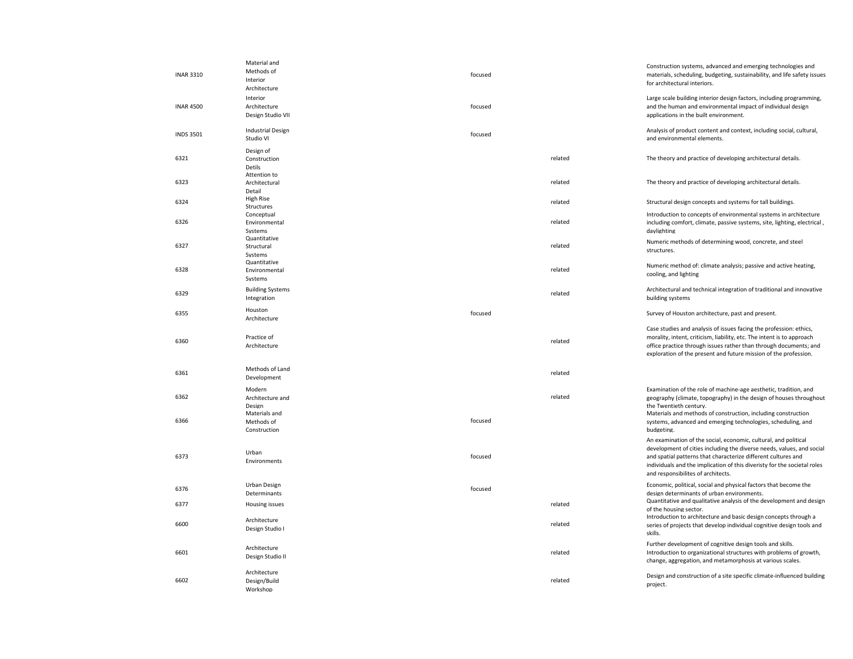| <b>INAR 3310</b> | Material and<br>Methods of<br>Interior<br>Architecture              | focused |         | Construction systems, advanced and emerging technologies and<br>materials, scheduling, budgeting, sustainability, and life safety issues<br>for architectural interiors.                                                                                                                                                                  |
|------------------|---------------------------------------------------------------------|---------|---------|-------------------------------------------------------------------------------------------------------------------------------------------------------------------------------------------------------------------------------------------------------------------------------------------------------------------------------------------|
| <b>INAR 4500</b> | Interior<br>Architecture<br>Design Studio VII                       | focused |         | Large scale building interior design factors, including programming,<br>and the human and environmental impact of individual design<br>applications in the built environment.                                                                                                                                                             |
| <b>INDS 3501</b> | <b>Industrial Design</b><br>Studio VI                               | focused |         | Analysis of product content and context, including social, cultural,<br>and environmental elements.                                                                                                                                                                                                                                       |
| 6321             | Design of<br>Construction<br>Detils                                 |         | related | The theory and practice of developing architectural details.                                                                                                                                                                                                                                                                              |
| 6323             | Attention to<br>Architectural<br>Detail                             |         | related | The theory and practice of developing architectural details.                                                                                                                                                                                                                                                                              |
| 6324             | High Rise<br>Structures                                             |         | related | Structural design concepts and systems for tall buildings.                                                                                                                                                                                                                                                                                |
| 6326             | Conceptual<br>Environmental<br>Systems                              |         | related | Introduction to concepts of environmental systems in architecture<br>including comfort, climate, passive systems, site, lighting, electrical,<br>daylighting                                                                                                                                                                              |
| 6327             | Quantitative<br>Structural<br>Systems                               |         | related | Numeric methods of determining wood, concrete, and steel<br>structures.                                                                                                                                                                                                                                                                   |
| 6328             | Quantitative<br>Environmental<br>Systems                            |         | related | Numeric method of: climate analysis; passive and active heating,<br>cooling, and lighting                                                                                                                                                                                                                                                 |
| 6329             | <b>Building Systems</b><br>Integration                              |         | related | Architectural and technical integration of traditional and innovative<br>building systems                                                                                                                                                                                                                                                 |
| 6355             | Houston<br>Architecture                                             | focused |         | Survey of Houston architecture, past and present.                                                                                                                                                                                                                                                                                         |
| 6360             | Practice of<br>Architecture                                         |         | related | Case studies and analysis of issues facing the profession: ethics,<br>morality, intent, criticism, liability, etc. The intent is to approach<br>office practice through issues rather than through documents; and<br>exploration of the present and future mission of the profession.                                                     |
| 6361             | Methods of Land<br>Development                                      |         | related |                                                                                                                                                                                                                                                                                                                                           |
| 6362<br>6366     | Modern<br>Architecture and<br>Design<br>Materials and<br>Methods of | focused | related | Examination of the role of machine-age aesthetic, tradition, and<br>geography (climate, topography) in the design of houses throughout<br>the Twentieth century.<br>Materials and methods of construction, including construction<br>systems, advanced and emerging technologies, scheduling, and                                         |
| 6373             | Construction<br>Urban<br>Environments                               | focused |         | budgeting.<br>An examination of the social, economic, cultural, and political<br>development of cities including the diverse needs, values, and social<br>and spatial patterns that characterize different cultures and<br>individuals and the implication of this diveristy for the societal roles<br>and responsibilites of architects. |
| 6376             | Urban Design<br>Determinants                                        | focused |         | Economic, political, social and physical factors that become the<br>design determinants of urban environments.                                                                                                                                                                                                                            |
| 6377             | <b>Housing issues</b>                                               |         | related | Quantitative and qualitative analysis of the development and design<br>of the housing sector.                                                                                                                                                                                                                                             |
| 6600             | Architecture<br>Design Studio I                                     |         | related | Introduction to architecture and basic design concepts through a<br>series of projects that develop individual cognitive design tools and<br>skills.                                                                                                                                                                                      |
| 6601             | Architecture<br>Design Studio II                                    |         | related | Further development of cognitive design tools and skills.<br>Introduction to organizational structures with problems of growth,<br>change, aggregation, and metamorphosis at various scales.                                                                                                                                              |
| 6602             | Architecture<br>Design/Build<br>Workshop                            |         | related | Design and construction of a site specific climate-influenced building<br>project.                                                                                                                                                                                                                                                        |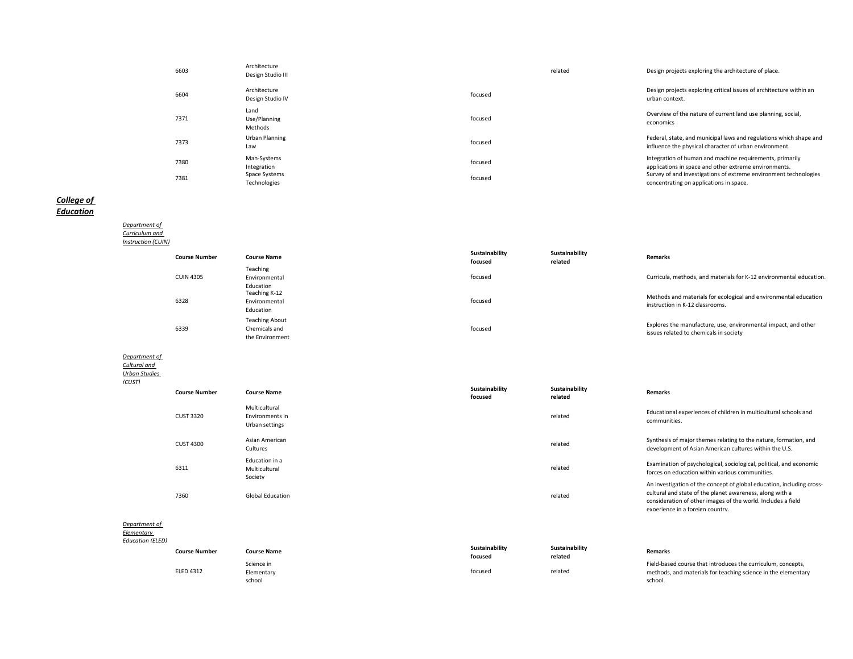| 6603 | Architecture<br>Design Studio III | related | Design projects exploring the architecture of place.                                                                         |
|------|-----------------------------------|---------|------------------------------------------------------------------------------------------------------------------------------|
| 6604 | Architecture<br>Design Studio IV  | focused | Design projects exploring critical issues of architecture within an<br>urban context.                                        |
| 7371 | Land<br>Use/Planning<br>Methods   | focused | Overview of the nature of current land use planning, social,<br>economics                                                    |
| 7373 | Urban Planning<br>Law             | focused | Federal, state, and municipal laws and regulations which shape and<br>influence the physical character of urban environment. |
| 7380 | Man-Systems<br>Integration        | focused | Integration of human and machine requirements, primarily<br>applications in space and other extreme environments.            |
| 7381 | Space Systems<br>Technologies     | focused | Survey of and investigations of extreme environment technologies<br>concentrating on applications in space.                  |

# *College of Education*

*Department of Curriculum and Instruction (CUIN)*

| <b>Course Number</b> | <b>Course Name</b>                                        | Sustainability<br>focused | Sustainability<br>related | <b>Remarks</b>                                                                                           |
|----------------------|-----------------------------------------------------------|---------------------------|---------------------------|----------------------------------------------------------------------------------------------------------|
| <b>CUIN 4305</b>     | Teaching<br>Environmental                                 | focused                   |                           | Curricula, methods, and materials for K-12 environmental education.                                      |
| 6328                 | Education<br>Teaching K-12<br>Environmental<br>Education  | focused                   |                           | Methods and materials for ecological and environmental education<br>instruction in K-12 classrooms.      |
| 6339                 | <b>Teaching About</b><br>Chemicals and<br>the Environment | focused                   |                           | Explores the manufacture, use, environmental impact, and other<br>issues related to chemicals in society |

# *Department of Cultural and*

*Urban Studies (CUST)*

| <b>CU311</b> | <b>Course Number</b> | <b>Course Name</b>                                 | Sustainability<br>focused | Sustainability<br>related | <b>Remarks</b>                                                                                                                                                                                                                        |
|--------------|----------------------|----------------------------------------------------|---------------------------|---------------------------|---------------------------------------------------------------------------------------------------------------------------------------------------------------------------------------------------------------------------------------|
|              | <b>CUST 3320</b>     | Multicultural<br>Environments in<br>Urban settings |                           | related                   | Educational experiences of children in multicultural schools and<br>communities.                                                                                                                                                      |
|              | <b>CUST 4300</b>     | Asian American<br>Cultures                         |                           | related                   | Synthesis of major themes relating to the nature, formation, and<br>development of Asian American cultures within the U.S.                                                                                                            |
|              | 6311                 | Education in a<br>Multicultural<br>Society         |                           | related                   | Examination of psychological, sociological, political, and economic<br>forces on education within various communities.                                                                                                                |
|              | 7360                 | <b>Global Education</b>                            |                           | related                   | An investigation of the concept of global education, including cross-<br>cultural and state of the planet awareness, along with a<br>consideration of other images of the world. Includes a field<br>experience in a foreign country. |

# *Department of*

*Elementary Education (ELED)*

| ducation (ELED) |                      |                    |                           |                           |                                                               |
|-----------------|----------------------|--------------------|---------------------------|---------------------------|---------------------------------------------------------------|
|                 | <b>Course Number</b> | <b>Course Name</b> | Sustainability<br>focused | Sustainability<br>related | <b>Remarks</b>                                                |
|                 |                      | Science in         |                           |                           | Field-based course that introduces the curriculum, concepts,  |
|                 | <b>ELED 4312</b>     | Elementary         | focused                   | related                   | methods, and materials for teaching science in the elementary |
|                 |                      | school             |                           |                           | school.                                                       |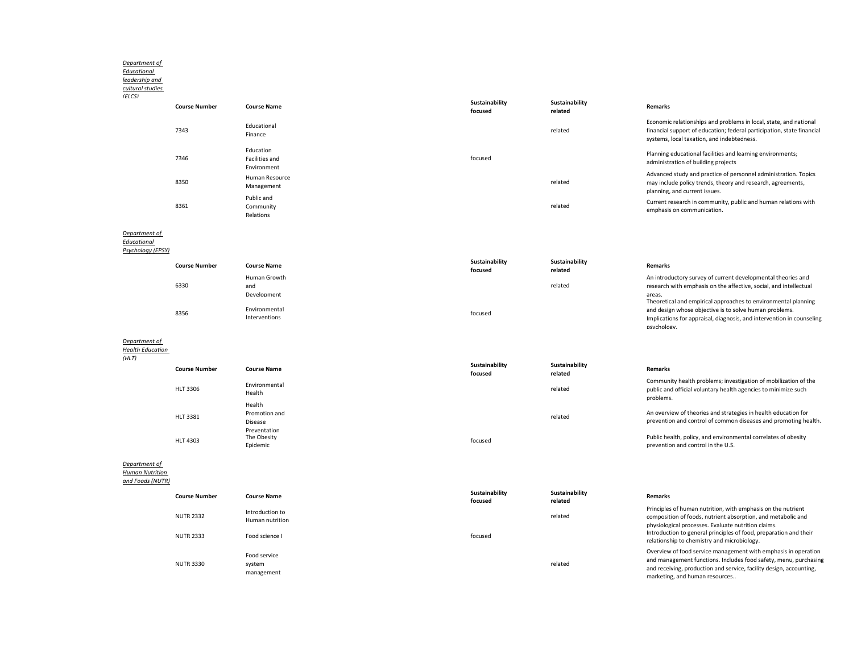#### *Department of*

*Educational leadership and* 

| cultural studies<br>(FICS)                        |                      |                                            |                           |                           |                                                                                                                                                                                           |
|---------------------------------------------------|----------------------|--------------------------------------------|---------------------------|---------------------------|-------------------------------------------------------------------------------------------------------------------------------------------------------------------------------------------|
|                                                   | <b>Course Number</b> | <b>Course Name</b>                         | Sustainability<br>focused | Sustainability<br>related | <b>Remarks</b>                                                                                                                                                                            |
|                                                   | 7343                 | Educational<br>Finance                     |                           | related                   | Economic relationships and problems in local, state, and national<br>financial support of education; federal participation, state financial<br>systems, local taxation, and indebtedness. |
|                                                   | 7346                 | Education<br>Facilities and<br>Environment | focused                   |                           | Planning educational facilities and learning environments;<br>administration of building projects                                                                                         |
|                                                   | 8350                 | Human Resource<br>Management               |                           | related                   | Advanced study and practice of personnel administration. Topics<br>may include policy trends, theory and research, agreements,<br>planning, and current issues.                           |
|                                                   | 8361                 | Public and<br>Community<br>Relations       |                           | related                   | Current research in community, public and human relations with<br>emphasis on communication.                                                                                              |
| Department of<br>Educational<br>Psychology (EPSY) |                      |                                            |                           |                           |                                                                                                                                                                                           |
|                                                   | Course Number        | Course Name                                | Sustainability            | Sustainability            | Remarks                                                                                                                                                                                   |

|      | <b>Course Number</b> | <b>Course Name</b> | <b>JUJUHINDIILY</b><br>focused | <b>JUJUHINDIILY</b><br>related | Remarks                                                               |
|------|----------------------|--------------------|--------------------------------|--------------------------------|-----------------------------------------------------------------------|
|      |                      | Human Growth       |                                |                                | An introductory survey of current developmental theories and          |
|      | 6330                 | and                |                                | related                        | research with emphasis on the affective, social, and intellectual     |
|      |                      | Development        |                                |                                | areas.                                                                |
|      |                      |                    |                                |                                | Theoretical and empirical approaches to environmental planning        |
| 8356 |                      | Environmental      | focused                        |                                | and design whose objective is to solve human problems.                |
|      |                      | Interventions      |                                |                                | Implications for appraisal, diagnosis, and intervention in counseling |
|      |                      |                    |                                |                                | nsychology.                                                           |
|      |                      |                    |                                |                                |                                                                       |

### *Department of*

*Health Education*   $\overline{f(x)}$ 

| (HLI) | <b>Course Number</b> | <b>Course Name</b>                      | Sustainability<br>focused | Sustainability<br>related | <b>Remarks</b>                                                                                                                                 |
|-------|----------------------|-----------------------------------------|---------------------------|---------------------------|------------------------------------------------------------------------------------------------------------------------------------------------|
|       | HLT 3306             | Environmental<br>Health                 |                           | related                   | Community health problems; investigation of mobilization of the<br>public and official voluntary health agencies to minimize such<br>problems. |
|       | HLT 3381             | Health<br>Promotion and<br>Disease      |                           | related                   | An overview of theories and strategies in health education for<br>prevention and control of common diseases and promoting health.              |
|       | HLT 4303             | Preventation<br>The Obesity<br>Epidemic | focused                   |                           | Public health, policy, and environmental correlates of obesity<br>prevention and control in the U.S.                                           |
|       |                      |                                         |                           |                           |                                                                                                                                                |

*Department of Human Nutrition* 

*and Foods (NUTR)*

| <b>Course Number</b>                 | <b>Course Name</b>                                   | Sustainability<br>focused | Sustainability<br>related | <b>Remarks</b>                                                                                                                                                                                                                                                                             |
|--------------------------------------|------------------------------------------------------|---------------------------|---------------------------|--------------------------------------------------------------------------------------------------------------------------------------------------------------------------------------------------------------------------------------------------------------------------------------------|
| <b>NUTR 2332</b><br><b>NUTR 2333</b> | Introduction to<br>Human nutrition<br>Food science I | focused                   | related                   | Principles of human nutrition, with emphasis on the nutrient<br>composition of foods, nutrient absorption, and metabolic and<br>physiological processes. Evaluate nutrition claims.<br>Introduction to general principles of food, preparation and their                                   |
| <b>NUTR 3330</b>                     | Food service<br>system<br>management                 |                           | related                   | relationship to chemistry and microbiology.<br>Overview of food service management with emphasis in operation<br>and management functions. Includes food safety, menu, purchasing<br>and receiving, production and service, facility design, accounting,<br>marketing, and human resources |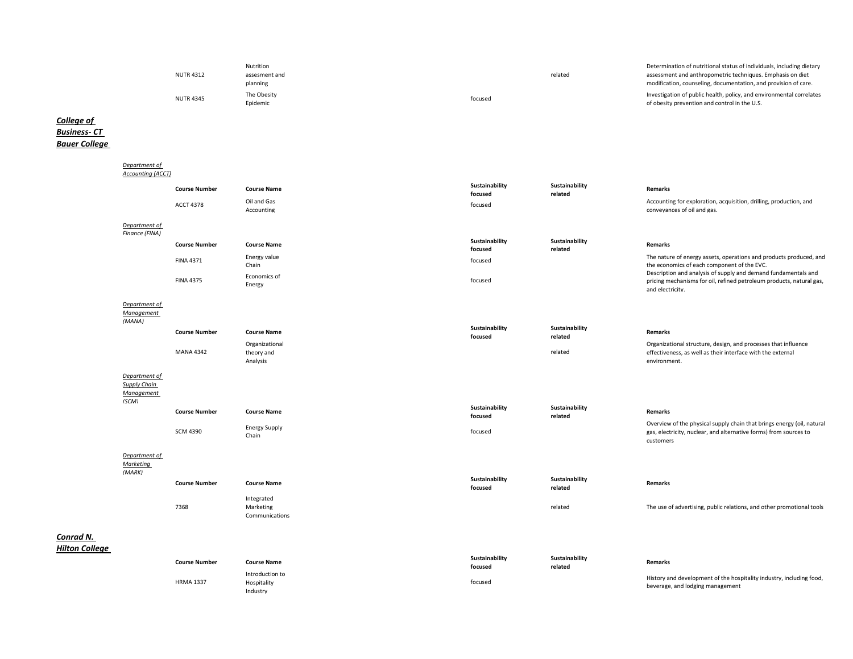| <b>NUTR 4312</b> | <b>Nutrition</b><br>assesment and<br>planning | related | Determination of nutritional status of individuals, including dietary<br>assessment and anthropometric techniques. Emphasis on diet<br>modification, counseling, documentation, and provision of care. |
|------------------|-----------------------------------------------|---------|--------------------------------------------------------------------------------------------------------------------------------------------------------------------------------------------------------|
| <b>NUTR 4345</b> | The Obesity<br>Epidemic                       | focused | Investigation of public health, policy, and environmental correlates<br>of obesity prevention and control in the U.S.                                                                                  |

## *College of Business- CT Bauer College*

|                                    | Department of                                               |                      |                               |                           |                           |                                                                                                                                                            |
|------------------------------------|-------------------------------------------------------------|----------------------|-------------------------------|---------------------------|---------------------------|------------------------------------------------------------------------------------------------------------------------------------------------------------|
|                                    | <b>Accounting (ACCT)</b>                                    |                      |                               |                           |                           |                                                                                                                                                            |
|                                    |                                                             | <b>Course Number</b> | <b>Course Name</b>            | Sustainability<br>focused | Sustainability<br>related | Remarks                                                                                                                                                    |
|                                    |                                                             | <b>ACCT 4378</b>     | Oil and Gas<br>Accounting     | focused                   |                           | Accounting for exploration, acquisition, drilling, production, and<br>conveyances of oil and gas.                                                          |
|                                    | Department of                                               |                      |                               |                           |                           |                                                                                                                                                            |
|                                    | Finance (FINA)                                              |                      |                               |                           |                           |                                                                                                                                                            |
|                                    |                                                             | <b>Course Number</b> | <b>Course Name</b>            | Sustainability<br>focused | Sustainability<br>related | <b>Remarks</b>                                                                                                                                             |
|                                    |                                                             | <b>FINA 4371</b>     | Energy value<br>Chain         | focused                   |                           | The nature of energy assets, operations and products produced, and<br>the economics of each component of the EVC.                                          |
|                                    |                                                             | <b>FINA 4375</b>     | Economics of<br>Energy        | focused                   |                           | Description and analysis of supply and demand fundamentals and<br>pricing mechanisms for oil, refined petroleum products, natural gas,<br>and electricity. |
|                                    | Department of<br>Management<br>(MANA)                       |                      |                               |                           |                           |                                                                                                                                                            |
|                                    |                                                             | <b>Course Number</b> | <b>Course Name</b>            | Sustainability<br>focused | Sustainability<br>related | Remarks                                                                                                                                                    |
|                                    |                                                             |                      | Organizational                |                           |                           | Organizational structure, design, and processes that influence                                                                                             |
|                                    |                                                             | <b>MANA 4342</b>     | theory and                    |                           | related                   | effectiveness, as well as their interface with the external                                                                                                |
|                                    |                                                             |                      | Analysis                      |                           |                           | environment.                                                                                                                                               |
|                                    | Department of<br><b>Supply Chain</b><br>Management<br>(SCM) |                      |                               |                           |                           |                                                                                                                                                            |
|                                    |                                                             | <b>Course Number</b> | <b>Course Name</b>            | Sustainability<br>focused | Sustainability<br>related | <b>Remarks</b>                                                                                                                                             |
|                                    |                                                             | <b>SCM 4390</b>      | <b>Energy Supply</b><br>Chain | focused                   |                           | Overview of the physical supply chain that brings energy (oil, natural<br>gas, electricity, nuclear, and alternative forms) from sources to<br>customers   |
|                                    | Department of<br><b>Marketing</b><br>(MARK)                 |                      |                               |                           |                           |                                                                                                                                                            |
|                                    |                                                             | <b>Course Number</b> | <b>Course Name</b>            | Sustainability<br>focused | Sustainability<br>related | Remarks                                                                                                                                                    |
|                                    |                                                             |                      | Integrated                    |                           |                           |                                                                                                                                                            |
|                                    |                                                             | 7368                 | Marketing                     |                           | related                   | The use of advertising, public relations, and other promotional tools                                                                                      |
|                                    |                                                             |                      | Communications                |                           |                           |                                                                                                                                                            |
| Conrad N.<br><b>Hilton College</b> |                                                             |                      |                               |                           |                           |                                                                                                                                                            |
|                                    |                                                             | <b>Course Number</b> | <b>Course Name</b>            | Sustainability<br>focused | Sustainability<br>related | Remarks                                                                                                                                                    |
|                                    |                                                             |                      | Introduction to               |                           |                           |                                                                                                                                                            |
|                                    |                                                             | <b>HRMA 1337</b>     | Hospitality                   | focused                   |                           | History and development of the hospitality industry, including food,<br>beverage, and lodging management                                                   |

Industry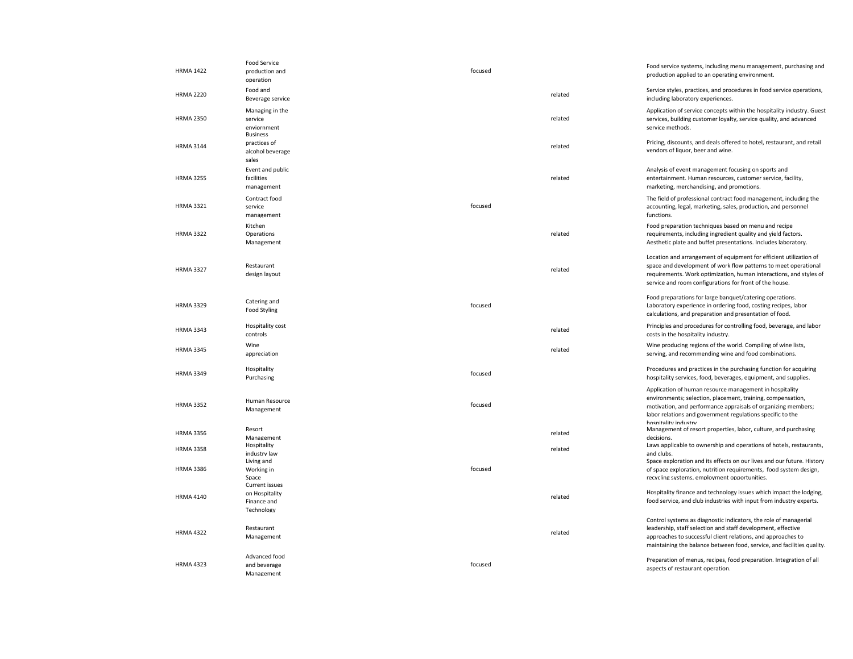| <b>HRMA 1422</b> | <b>Food Service</b><br>production and<br>operation            | focused |         | Food service systems, including menu management, purchasing and<br>production applied to an operating environment.                                                                                                                                                            |
|------------------|---------------------------------------------------------------|---------|---------|-------------------------------------------------------------------------------------------------------------------------------------------------------------------------------------------------------------------------------------------------------------------------------|
| <b>HRMA 2220</b> | Food and<br>Beverage service                                  |         | related | Service styles, practices, and procedures in food service operations,<br>including laboratory experiences.                                                                                                                                                                    |
| <b>HRMA 2350</b> | Managing in the<br>service<br>enviornment                     |         | related | Application of service concepts within the hospitality industry. Guest<br>services, building customer loyalty, service quality, and advanced<br>service methods.                                                                                                              |
| <b>HRMA 3144</b> | <b>Business</b><br>practices of<br>alcohol beverage<br>sales  |         | related | Pricing, discounts, and deals offered to hotel, restaurant, and retail<br>vendors of liquor, beer and wine.                                                                                                                                                                   |
| <b>HRMA 3255</b> | Event and public<br>facilities<br>management                  |         | related | Analysis of event management focusing on sports and<br>entertainment. Human resources, customer service, facility,<br>marketing, merchandising, and promotions.                                                                                                               |
| <b>HRMA 3321</b> | Contract food<br>service<br>management                        | focused |         | The field of professional contract food management, including the<br>accounting, legal, marketing, sales, production, and personnel<br>functions.                                                                                                                             |
| <b>HRMA 3322</b> | Kitchen<br>Operations<br>Management                           |         | related | Food preparation techniques based on menu and recipe<br>requirements, including ingredient quality and yield factors.<br>Aesthetic plate and buffet presentations. Includes laboratory.                                                                                       |
| <b>HRMA 3327</b> | Restaurant<br>design layout                                   |         | related | Location and arrangement of equipment for efficient utilization of<br>space and development of work flow patterns to meet operational<br>requirements. Work optimization, human interactions, and styles of<br>service and room configurations for front of the house.        |
| <b>HRMA 3329</b> | Catering and<br>Food Styling                                  | focused |         | Food preparations for large banquet/catering operations.<br>Laboratory experience in ordering food, costing recipes, labor<br>calculations, and preparation and presentation of food.                                                                                         |
| <b>HRMA 3343</b> | Hospitality cost<br>controls                                  |         | related | Principles and procedures for controlling food, beverage, and labor<br>costs in the hospitality industry.                                                                                                                                                                     |
| <b>HRMA 3345</b> | Wine<br>appreciation                                          |         | related | Wine producing regions of the world. Compiling of wine lists,<br>serving, and recommending wine and food combinations.                                                                                                                                                        |
| <b>HRMA 3349</b> | Hospitality<br>Purchasing                                     | focused |         | Procedures and practices in the purchasing function for acquiring<br>hospitality services, food, beverages, equipment, and supplies.                                                                                                                                          |
| <b>HRMA 3352</b> | Human Resource<br>Management                                  | focused |         | Application of human resource management in hospitality<br>environments; selection, placement, training, compensation,<br>motivation, and performance appraisals of organizing members;<br>labor relations and government regulations specific to the<br>hosnitality industry |
| <b>HRMA 3356</b> | Resort<br>Management                                          |         | related | Management of resort properties, labor, culture, and purchasing<br>decisions.                                                                                                                                                                                                 |
| <b>HRMA 3358</b> | Hospitality<br>industry law<br>Living and                     |         | related | Laws applicable to ownership and operations of hotels, restaurants,<br>and clubs.<br>Space exploration and its effects on our lives and our future. History                                                                                                                   |
| <b>HRMA 3386</b> | Working in<br>Space                                           | focused |         | of space exploration, nutrition requirements, food system design,<br>recvcling systems. employment opportunities.                                                                                                                                                             |
| <b>HRMA 4140</b> | Current issues<br>on Hospitality<br>Finance and<br>Technology |         | related | Hospitality finance and technology issues which impact the lodging,<br>food service, and club industries with input from industry experts.                                                                                                                                    |
| <b>HRMA 4322</b> | Restaurant<br>Management                                      |         | related | Control systems as diagnostic indicators, the role of managerial<br>leadership, staff selection and staff development, effective<br>approaches to successful client relations, and approaches to<br>maintaining the balance between food, service, and facilities quality.    |
| <b>HRMA 4323</b> | Advanced food<br>and beverage<br>Management                   | focused |         | Preparation of menus, recipes, food preparation. Integration of all<br>aspects of restaurant operation.                                                                                                                                                                       |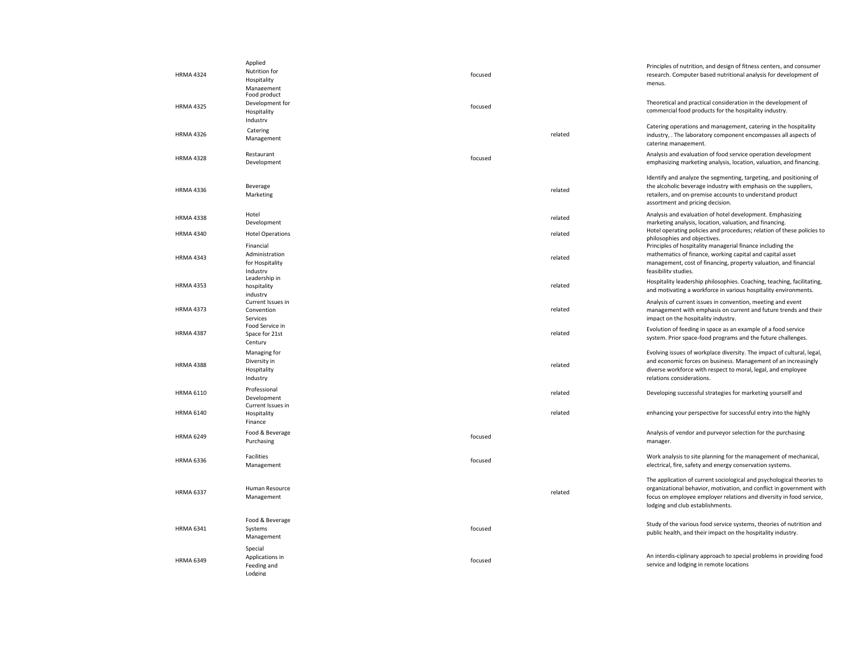| <b>HRMA 4324</b> | Applied<br>Nutrition for<br>Hospitality<br>Management      | focused |         | Principles of nutrition, and design of fitness centers, and consumer<br>research. Computer based nutritional analysis for development of<br>menus.                                                                                                       |
|------------------|------------------------------------------------------------|---------|---------|----------------------------------------------------------------------------------------------------------------------------------------------------------------------------------------------------------------------------------------------------------|
| <b>HRMA 4325</b> | Food product<br>Development for<br>Hospitality<br>Industry | focused |         | Theoretical and practical consideration in the development of<br>commercial food products for the hospitality industry.                                                                                                                                  |
| <b>HRMA 4326</b> | Catering<br>Management                                     |         | related | Catering operations and management, catering in the hospitality<br>industry, . The laboratory component encompasses all aspects of<br>catering management.                                                                                               |
| <b>HRMA 4328</b> | Restaurant<br>Development                                  | focused |         | Analysis and evaluation of food service operation development<br>emphasizing marketing analysis, location, valuation, and financing.                                                                                                                     |
| <b>HRMA 4336</b> | Beverage<br>Marketing                                      |         | related | Identify and analyze the segmenting, targeting, and positioning of<br>the alcoholic beverage industry with emphasis on the suppliers,<br>retailers, and on-premise accounts to understand product<br>assortment and pricing decision.                    |
| <b>HRMA 4338</b> | Hotel<br>Development                                       |         | related | Analysis and evaluation of hotel development. Emphasizing<br>marketing analysis, location, valuation, and financing.                                                                                                                                     |
| <b>HRMA 4340</b> | <b>Hotel Operations</b>                                    |         | related | Hotel operating policies and procedures; relation of these policies to<br>philosophies and objectives.                                                                                                                                                   |
| <b>HRMA 4343</b> | Financial<br>Administration<br>for Hospitality<br>Industry |         | related | Principles of hospitality managerial finance including the<br>mathematics of finance, working capital and capital asset<br>management, cost of financing, property valuation, and financial<br>feasibility studies.                                      |
| <b>HRMA 4353</b> | Leadership in<br>hospitality<br>industrv                   |         | related | Hospitality leadership philosophies. Coaching, teaching, facilitating,<br>and motivating a workforce in various hospitality environments.                                                                                                                |
| <b>HRMA 4373</b> | Current Issues in<br>Convention<br>Services                |         | related | Analysis of current issues in convention, meeting and event<br>management with emphasis on current and future trends and their<br>impact on the hospitality industry.                                                                                    |
| <b>HRMA 4387</b> | Food Service in<br>Space for 21st<br>Century               |         | related | Evolution of feeding in space as an example of a food service<br>system. Prior space-food programs and the future challenges.                                                                                                                            |
| <b>HRMA 4388</b> | Managing for<br>Diversity in<br>Hospitality<br>Industry    |         | related | Evolving issues of workplace diversity. The impact of cultural, legal,<br>and economic forces on business. Management of an increasingly<br>diverse workforce with respect to moral, legal, and employee<br>relations considerations.                    |
| <b>HRMA 6110</b> | Professional<br>Development<br>Current Issues in           |         | related | Developing successful strategies for marketing yourself and                                                                                                                                                                                              |
| <b>HRMA 6140</b> | Hospitality<br>Finance                                     |         | related | enhancing your perspective for successful entry into the highly                                                                                                                                                                                          |
| <b>HRMA 6249</b> | Food & Beverage<br>Purchasing                              | focused |         | Analysis of vendor and purveyor selection for the purchasing<br>manager.                                                                                                                                                                                 |
| <b>HRMA 6336</b> | Facilities<br>Management                                   | focused |         | Work analysis to site planning for the management of mechanical,<br>electrical, fire, safety and energy conservation systems.                                                                                                                            |
| <b>HRMA 6337</b> | Human Resource<br>Management                               |         | related | The application of current sociological and psychological theories to<br>organizational behavior, motivation, and conflict in government with<br>focus on employee employer relations and diversity in food service,<br>lodging and club establishments. |
| <b>HRMA 6341</b> | Food & Beverage<br>Systems<br>Management                   | focused |         | Study of the various food service systems, theories of nutrition and<br>public health, and their impact on the hospitality industry.                                                                                                                     |
| <b>HRMA 6349</b> | Special<br>Applications in<br>Feeding and<br>Lodging       | focused |         | An interdis-ciplinary approach to special problems in providing food<br>service and lodging in remote locations                                                                                                                                          |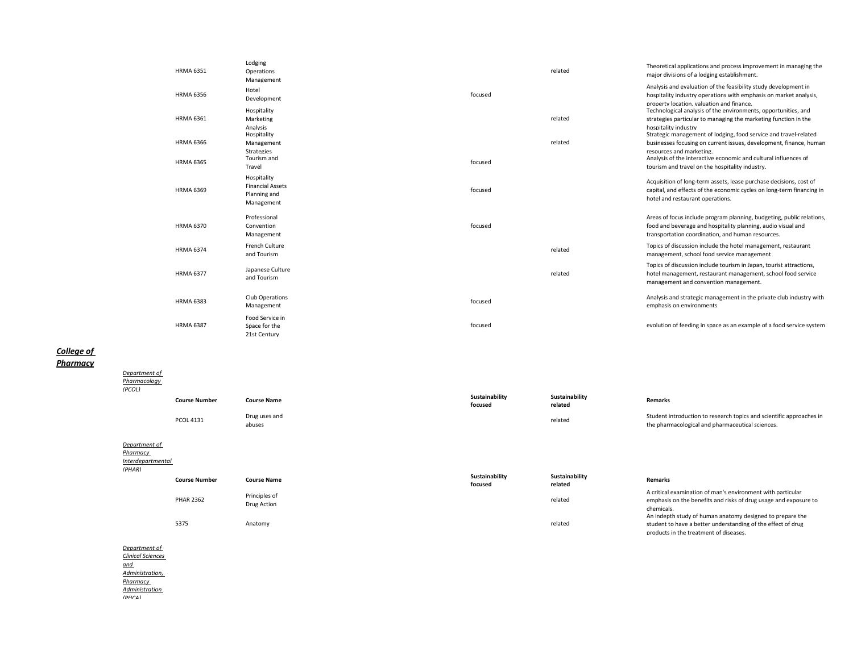| <b>HRMA 6351</b> | Lodging<br>Operations<br>Management                                  |         | related | Theoretical applications and process improvement in managing the<br>major divisions of a lodging establishment.                                                                                                                       |
|------------------|----------------------------------------------------------------------|---------|---------|---------------------------------------------------------------------------------------------------------------------------------------------------------------------------------------------------------------------------------------|
| <b>HRMA 6356</b> | Hotel<br>Development                                                 | focused |         | Analysis and evaluation of the feasibility study development in<br>hospitality industry operations with emphasis on market analysis,<br>property location, valuation and finance.                                                     |
| <b>HRMA 6361</b> | Hospitality<br>Marketing<br>Analysis                                 |         | related | Technological analysis of the environments, opportunities, and<br>strategies particular to managing the marketing function in the<br>hospitality industry                                                                             |
| <b>HRMA 6366</b> | Hospitality<br>Management<br><b>Strategies</b><br>Tourism and        |         | related | Strategic management of lodging, food service and travel-related<br>businesses focusing on current issues, development, finance, human<br>resources and marketing.<br>Analysis of the interactive economic and cultural influences of |
| <b>HRMA 6365</b> | Travel                                                               | focused |         | tourism and travel on the hospitality industry.                                                                                                                                                                                       |
| <b>HRMA 6369</b> | Hospitality<br><b>Financial Assets</b><br>Planning and<br>Management | focused |         | Acquisition of long-term assets, lease purchase decisions, cost of<br>capital, and effects of the economic cycles on long-term financing in<br>hotel and restaurant operations.                                                       |
| <b>HRMA 6370</b> | Professional<br>Convention<br>Management                             | focused |         | Areas of focus include program planning, budgeting, public relations,<br>food and beverage and hospitality planning, audio visual and<br>transportation coordination, and human resources.                                            |
| <b>HRMA 6374</b> | French Culture<br>and Tourism                                        |         | related | Topics of discussion include the hotel management, restaurant<br>management, school food service management                                                                                                                           |
| <b>HRMA 6377</b> | Japanese Culture<br>and Tourism                                      |         | related | Topics of discussion include tourism in Japan, tourist attractions,<br>hotel management, restaurant management, school food service<br>management and convention management.                                                          |
| <b>HRMA 6383</b> | Club Operations<br>Management                                        | focused |         | Analysis and strategic management in the private club industry with<br>emphasis on environments                                                                                                                                       |
| <b>HRMA 6387</b> | Food Service in<br>Space for the<br>21st Century                     | focused |         | evolution of feeding in space as an example of a food service system                                                                                                                                                                  |

# *College of*

## *Pharmacy*

| Department of<br>Pharmacology<br>(PCOL)                         |                      |                              |                           |                           |                                                                                                                                                                     |
|-----------------------------------------------------------------|----------------------|------------------------------|---------------------------|---------------------------|---------------------------------------------------------------------------------------------------------------------------------------------------------------------|
|                                                                 | <b>Course Number</b> | <b>Course Name</b>           | Sustainability<br>focused | Sustainability<br>related | <b>Remarks</b>                                                                                                                                                      |
|                                                                 | <b>PCOL 4131</b>     | Drug uses and<br>abuses      |                           | related                   | Student introduction to research topics and scientific approaches in<br>the pharmacological and pharmaceutical sciences.                                            |
| Department of<br><b>Pharmacy</b><br>Interdepartmental<br>(PHAR) |                      |                              |                           |                           |                                                                                                                                                                     |
|                                                                 | <b>Course Number</b> | <b>Course Name</b>           | Sustainability<br>focused | Sustainability<br>related | <b>Remarks</b>                                                                                                                                                      |
|                                                                 | <b>PHAR 2362</b>     | Principles of<br>Drug Action |                           | related                   | A critical examination of man's environment with particular<br>emphasis on the benefits and risks of drug usage and exposure to<br>chemicals.                       |
|                                                                 | 5375                 | Anatomy                      |                           | related                   | An indepth study of human anatomy designed to prepare the<br>student to have a better understanding of the effect of drug<br>products in the treatment of diseases. |

*Department of Clinical Sciences and Administration, Pharmacy Administration* 

*(PHCA)*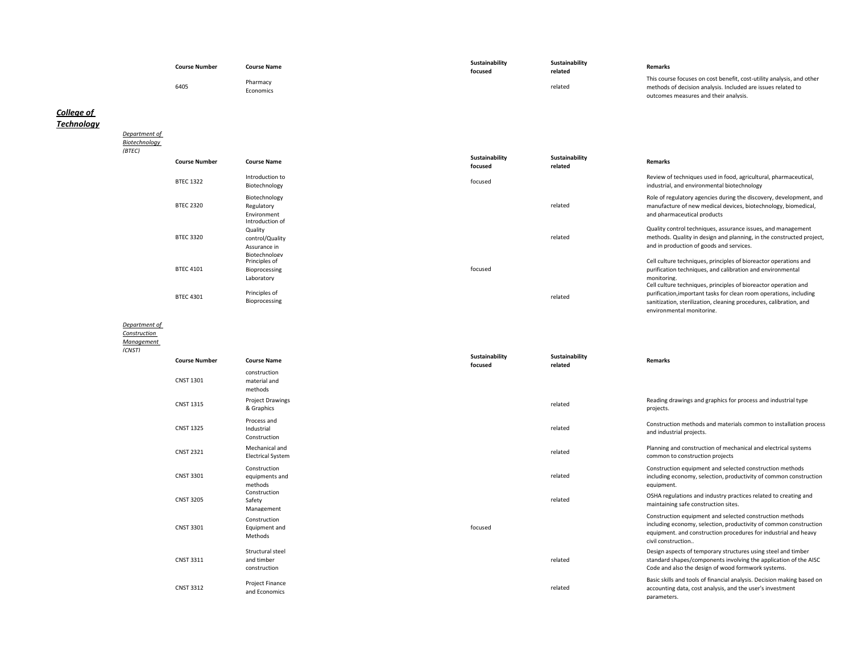| <b>Course Number</b> | <b>Course Name</b>    | Sustainability<br>focused | Sustainability<br>related | <b>Remarks</b>                                                                                                                                                                 |
|----------------------|-----------------------|---------------------------|---------------------------|--------------------------------------------------------------------------------------------------------------------------------------------------------------------------------|
| 6405                 | Pharmacy<br>Economics |                           | related                   | This course focuses on cost benefit, cost-utility analysis, and other<br>methods of decision analysis. Included are issues related to<br>outcomes measures and their analysis. |

# *College of*

*Technology*

*Biotechnology (BTEC)* **Course Number Course Name Sustainability focused Sustainability related Remarks** BTEC 1322 Introduction to<br>Biotechnology Biotechnology and Review of techniques used in food, agricultural, pharmaceutical, in the state of the contract of the contract of the contract of the contract of the contract of the contract of the contract of the contrac industrial, and environmental biotechnology BTEC 2320 Biotechnology Regulatory Environment related Role of regulatory agencies during the discovery, development, and manufacture of new medical devices, biotechnology, biomedical, and pharmaceutical products BTEC 3320 Introduction of Quality control/Quality Assurance in Biotechnology related Quality control techniques, assurance issues, and management methods. Quality in design and planning, in the constructed project, and in production of goods and services. BTEC 4101 Principles of Bioprocessing Laboratory focused Cell culture techniques, principles of bioreactor operations and purification techniques, and calibration and environmental monitoring. BTEC 4301 Principles of<br>Bioprocessing Bioprocessing related Cell culture techniques, principles of bioreactor operation and purification,important tasks for clean room operations, including sanitization, sterilization, cleaning procedures, calibration, and environmental monitoring.

#### *Department of*

*Department of* 

*Construction* 

#### *Management*

*(CNST)*

| <b>Course Number</b> | <b>Course Name</b>                             | Sustainability<br>focused | Sustainability<br>related | <b>Remarks</b>                                                                                                                                                                                                         |
|----------------------|------------------------------------------------|---------------------------|---------------------------|------------------------------------------------------------------------------------------------------------------------------------------------------------------------------------------------------------------------|
| <b>CNST 1301</b>     | construction<br>material and<br>methods        |                           |                           |                                                                                                                                                                                                                        |
| <b>CNST 1315</b>     | <b>Project Drawings</b><br>& Graphics          |                           | related                   | Reading drawings and graphics for process and industrial type<br>projects.                                                                                                                                             |
| <b>CNST 1325</b>     | Process and<br>Industrial<br>Construction      |                           | related                   | Construction methods and materials common to installation process<br>and industrial projects.                                                                                                                          |
| <b>CNST 2321</b>     | Mechanical and<br><b>Electrical System</b>     |                           | related                   | Planning and construction of mechanical and electrical systems<br>common to construction projects                                                                                                                      |
| <b>CNST 3301</b>     | Construction<br>equipments and<br>methods      |                           | related                   | Construction equipment and selected construction methods<br>including economy, selection, productivity of common construction<br>equipment.                                                                            |
| <b>CNST 3205</b>     | Construction<br>Safety<br>Management           |                           | related                   | OSHA regulations and industry practices related to creating and<br>maintaining safe construction sites.                                                                                                                |
| <b>CNST 3301</b>     | Construction<br>Equipment and<br>Methods       | focused                   |                           | Construction equipment and selected construction methods<br>including economy, selection, productivity of common construction<br>equipment. and construction procedures for industrial and heavy<br>civil construction |
| <b>CNST 3311</b>     | Structural steel<br>and timber<br>construction |                           | related                   | Design aspects of temporary structures using steel and timber<br>standard shapes/components involving the application of the AISC<br>Code and also the design of wood formwork systems.                                |
| <b>CNST 3312</b>     | Project Finance<br>and Economics               |                           | related                   | Basic skills and tools of financial analysis. Decision making based on<br>accounting data, cost analysis, and the user's investment<br>parameters.                                                                     |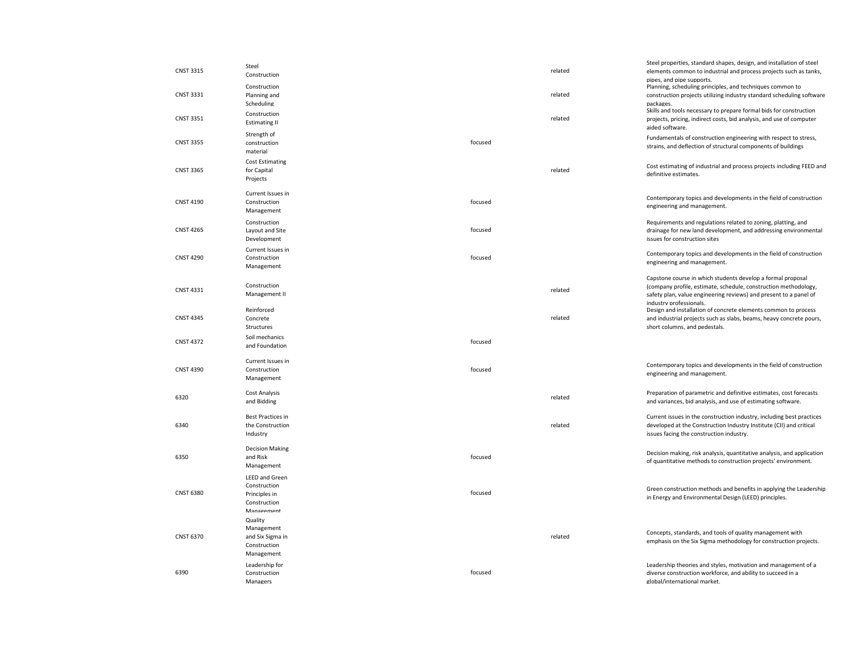| <b>CNST 3315</b> | Steel<br>Construction                                                                |         | related | Steel properties, standard shapes, design, and installation of steel<br>elements common to industrial and process projects such as tanks,<br>pipes, and pipe supports.                                                         |
|------------------|--------------------------------------------------------------------------------------|---------|---------|--------------------------------------------------------------------------------------------------------------------------------------------------------------------------------------------------------------------------------|
| <b>CNST 3331</b> | Construction<br>Planning and<br>Scheduling                                           |         | related | Planning, scheduling principles, and techniques common to<br>construction projects utilizing industry standard scheduling software<br>packages.                                                                                |
| <b>CNST 3351</b> | Construction<br><b>Estimating II</b>                                                 |         | related | Skills and tools necessary to prepare formal bids for construction<br>projects, pricing, indirect costs, bid analysis, and use of computer<br>aided software.                                                                  |
| <b>CNST 3355</b> | Strength of<br>construction<br>material                                              | focused |         | Fundamentals of construction engineering with respect to stress,<br>strains, and deflection of structural components of buildings                                                                                              |
| <b>CNST 3365</b> | <b>Cost Estimating</b><br>for Capital<br>Projects                                    |         | related | Cost estimating of industrial and process projects including FEED and<br>definitive estimates.                                                                                                                                 |
| <b>CNST 4190</b> | Current Issues in<br>Construction<br>Management                                      | focused |         | Contemporary topics and developments in the field of construction<br>engineering and management.                                                                                                                               |
| <b>CNST 4265</b> | Construction<br>Layout and Site<br>Development                                       | focused |         | Requirements and regulations related to zoning, platting, and<br>drainage for new land development, and addressing environmental<br>issues for construction sites                                                              |
| <b>CNST 4290</b> | Current Issues in<br>Construction<br>Management                                      | focused |         | Contemporary topics and developments in the field of construction<br>engineering and management.                                                                                                                               |
| <b>CNST 4331</b> | Construction<br>Management II                                                        |         | related | Capstone course in which students develop a formal proposal<br>(company profile, estimate, schedule, construction methodology,<br>safety plan, value engineering reviews) and present to a panel of<br>industry professionals. |
| <b>CNST 4345</b> | Reinforced<br>Concrete<br>Structures                                                 |         | related | Design and installation of concrete elements common to process<br>and industrial projects such as slabs, beams, heavy concrete pours,<br>short columns, and pedestals.                                                         |
| <b>CNST 4372</b> | Soil mechanics<br>and Foundation                                                     | focused |         |                                                                                                                                                                                                                                |
| <b>CNST 4390</b> | Current Issues in<br>Construction<br>Management                                      | focused |         | Contemporary topics and developments in the field of construction<br>engineering and management.                                                                                                                               |
| 6320             | Cost Analysis<br>and Bidding                                                         |         | related | Preparation of parametric and definitive estimates, cost forecasts<br>and variances, bid analysis, and use of estimating software.                                                                                             |
| 6340             | <b>Best Practices in</b><br>the Construction<br>Industry                             |         | related | Current issues in the construction industry, including best practices<br>developed at the Construction Industry Institute (CII) and critical<br>issues facing the construction industry.                                       |
| 6350             | <b>Decision Making</b><br>and Risk<br>Management                                     | focused |         | Decision making, risk analysis, quantitative analysis, and application<br>of quantitative methods to construction projects' environment.                                                                                       |
| <b>CNST 6380</b> | <b>LEED and Green</b><br>Construction<br>Principles in<br>Construction<br>Management | focused |         | Green construction methods and benefits in applying the Leadership<br>in Energy and Environmental Design (LEED) principles.                                                                                                    |
| <b>CNST 6370</b> | Quality<br>Management<br>and Six Sigma in<br>Construction<br>Management              |         | related | Concepts, standards, and tools of quality management with<br>emphasis on the Six Sigma methodology for construction projects.                                                                                                  |
| 6390             | Leadership for<br>Construction<br>Managers                                           | focused |         | Leadership theories and styles, motivation and management of a<br>diverse construction workforce, and ability to succeed in a<br>global/international market.                                                                  |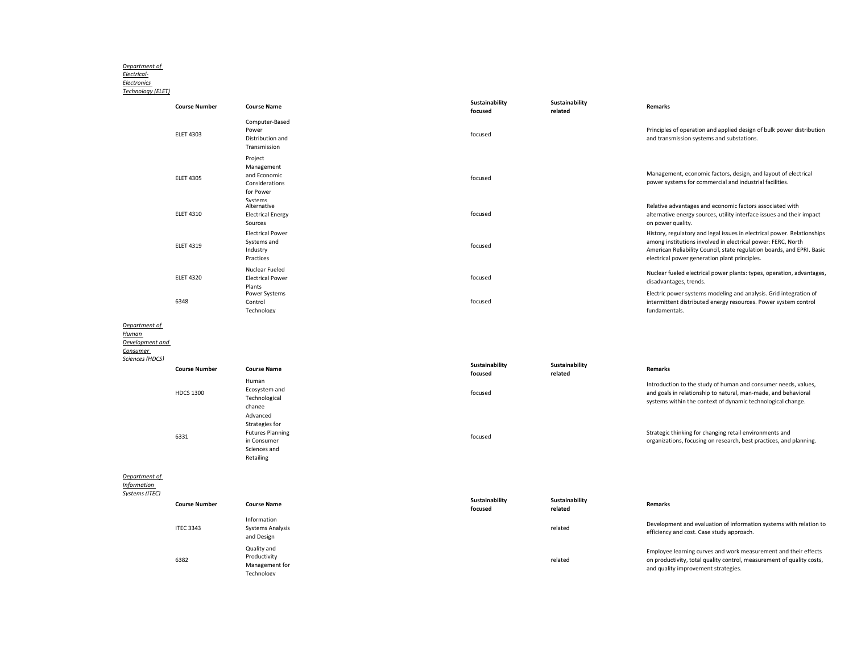# *Department of Electrical-Electronics*

*Technology (ELET)*

|                                                       | <b>Course Number</b> | <b>Course Name</b>                                                                                | Sustainability<br>focused | Sustainability<br>related | Remarks                                                                                                                                                                                                                                                            |
|-------------------------------------------------------|----------------------|---------------------------------------------------------------------------------------------------|---------------------------|---------------------------|--------------------------------------------------------------------------------------------------------------------------------------------------------------------------------------------------------------------------------------------------------------------|
|                                                       | <b>ELET 4303</b>     | Computer-Based<br>Power<br>Distribution and<br>Transmission                                       | focused                   |                           | Principles of operation and applied design of bulk power distribution<br>and transmission systems and substations.                                                                                                                                                 |
|                                                       | <b>ELET 4305</b>     | Project<br>Management<br>and Economic<br>Considerations<br>for Power<br>Systams                   | focused                   |                           | Management, economic factors, design, and layout of electrical<br>power systems for commercial and industrial facilities.                                                                                                                                          |
|                                                       | <b>ELET 4310</b>     | Alternative<br><b>Electrical Energy</b><br>Sources                                                | focused                   |                           | Relative advantages and economic factors associated with<br>alternative energy sources, utility interface issues and their impact<br>on power quality.                                                                                                             |
|                                                       | <b>ELET 4319</b>     | <b>Electrical Power</b><br>Systems and<br>Industry<br>Practices                                   | focused                   |                           | History, regulatory and legal issues in electrical power. Relationships<br>among institutions involved in electrical power: FERC, North<br>American Reliability Council, state regulation boards, and EPRI. Basic<br>electrical power generation plant principles. |
|                                                       | <b>ELET 4320</b>     | Nuclear Fueled<br><b>Electrical Power</b>                                                         | focused                   |                           | Nuclear fueled electrical power plants: types, operation, advantages,<br>disadvantages, trends.                                                                                                                                                                    |
|                                                       | 6348                 | Plants<br>Power Systems<br>Control<br>Technology                                                  | focused                   |                           | Electric power systems modeling and analysis. Grid integration of<br>intermittent distributed energy resources. Power system control<br>fundamentals.                                                                                                              |
| Department of<br>Human<br>Development and<br>Consumer |                      |                                                                                                   |                           |                           |                                                                                                                                                                                                                                                                    |
| Sciences (HDCS)                                       | <b>Course Number</b> | <b>Course Name</b>                                                                                | Sustainability<br>focused | Sustainability<br>related | Remarks                                                                                                                                                                                                                                                            |
|                                                       | <b>HDCS 1300</b>     | Human<br>Ecosystem and<br>Technological<br>change                                                 | focused                   |                           | Introduction to the study of human and consumer needs, values,<br>and goals in relationship to natural, man-made, and behavioral<br>systems within the context of dynamic technological change.                                                                    |
|                                                       | 6331                 | Advanced<br>Strategies for<br><b>Futures Planning</b><br>in Consumer<br>Sciences and<br>Retailing | focused                   |                           | Strategic thinking for changing retail environments and<br>organizations, focusing on research, best practices, and planning.                                                                                                                                      |
| Department of<br><b>Information</b><br>Systems (ITEC) |                      |                                                                                                   |                           |                           |                                                                                                                                                                                                                                                                    |
|                                                       | <b>Course Number</b> | <b>Course Name</b>                                                                                | Sustainability<br>focused | Sustainability<br>related | Remarks                                                                                                                                                                                                                                                            |
|                                                       | <b>ITEC 3343</b>     | Information<br><b>Systems Analysis</b><br>and Design                                              |                           | related                   | Development and evaluation of information systems with relation to<br>efficiency and cost. Case study approach.                                                                                                                                                    |
|                                                       | 6382                 | Quality and<br>Productivity<br>Management for<br>Technology                                       |                           | related                   | Employee learning curves and work measurement and their effects<br>on productivity, total quality control, measurement of quality costs,<br>and quality improvement strategies.                                                                                    |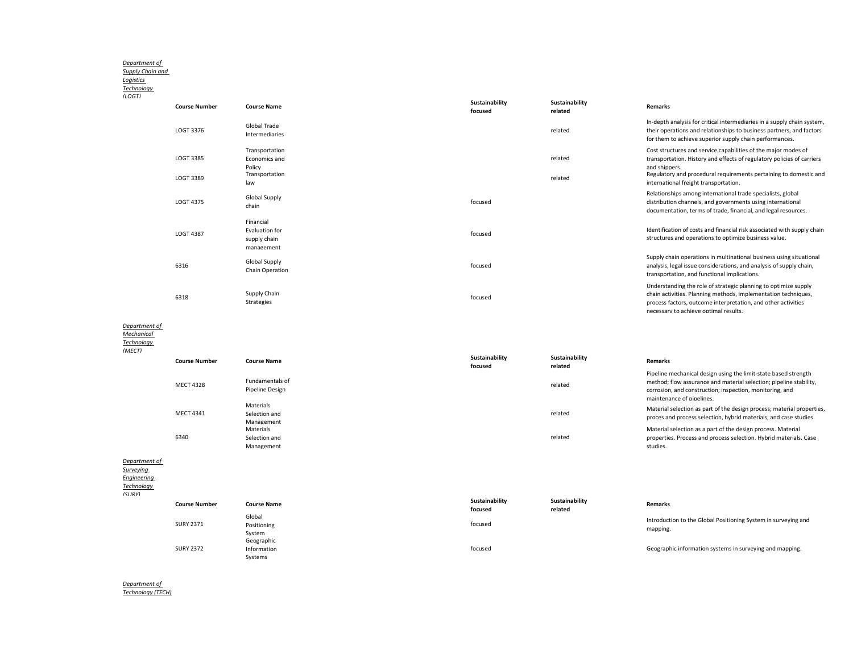#### *Department of*

*Supply Chain and* 

*Logistics* 

# *Technology (LOGT)*

| ,,,,,, |                        |                                                                    |                           |                           |                                                                                                                                                                                                                                                                         |
|--------|------------------------|--------------------------------------------------------------------|---------------------------|---------------------------|-------------------------------------------------------------------------------------------------------------------------------------------------------------------------------------------------------------------------------------------------------------------------|
|        | <b>Course Number</b>   | <b>Course Name</b>                                                 | Sustainability<br>focused | Sustainability<br>related | <b>Remarks</b>                                                                                                                                                                                                                                                          |
|        | LOGT 3376              | Global Trade<br>Intermediaries                                     |                           | related                   | In-depth analysis for critical intermediaries in a supply chain system,<br>their operations and relationships to business partners, and factors<br>for them to achieve superior supply chain performances.                                                              |
|        | LOGT 3385<br>LOGT 3389 | Transportation<br>Economics and<br>Policy<br>Transportation<br>law |                           | related<br>related        | Cost structures and service capabilities of the major modes of<br>transportation. History and effects of regulatory policies of carriers<br>and shippers.<br>Regulatory and procedural requirements pertaining to domestic and<br>international freight transportation. |
|        | LOGT 4375              | <b>Global Supply</b><br>chain                                      | focused                   |                           | Relationships among international trade specialists, global<br>distribution channels, and governments using international<br>documentation, terms of trade, financial, and legal resources.                                                                             |
|        | <b>LOGT 4387</b>       | Financial<br>Evaluation for<br>supply chain<br>management          | focused                   |                           | Identification of costs and financial risk associated with supply chain<br>structures and operations to optimize business value.                                                                                                                                        |
|        | 6316                   | <b>Global Supply</b><br>Chain Operation                            | focused                   |                           | Supply chain operations in multinational business using situational<br>analysis, legal issue considerations, and analysis of supply chain,<br>transportation, and functional implications.                                                                              |
|        | 6318                   | Supply Chain<br>Strategies                                         | focused                   |                           | Understanding the role of strategic planning to optimize supply<br>chain activities. Planning methods, implementation techniques,<br>process factors, outcome interpretation, and other activities<br>necessary to achieve optimal results.                             |

#### *Department of*

*Mechanical* 

### *Technology*

| (MECT)                     | <b>Course Number</b> | <b>Course Name</b>                       | Sustainability<br>focused | Sustainability<br>related | <b>Remarks</b>                                                                                                                                                                                                                 |
|----------------------------|----------------------|------------------------------------------|---------------------------|---------------------------|--------------------------------------------------------------------------------------------------------------------------------------------------------------------------------------------------------------------------------|
|                            | <b>MECT 4328</b>     | Fundamentals of<br>Pipeline Design       |                           | related                   | Pipeline mechanical design using the limit-state based strength<br>method; flow assurance and material selection; pipeline stability,<br>corrosion, and construction; inspection, monitoring, and<br>maintenance of pipelines. |
|                            | <b>MECT 4341</b>     | Materials<br>Selection and<br>Management |                           | related                   | Material selection as part of the design process; material properties,<br>proces and process selection, hybrid materials, and case studies.                                                                                    |
|                            | 6340                 | Materials<br>Selection and<br>Management |                           | related                   | Material selection as a part of the design process. Material<br>properties. Process and process selection. Hybrid materials. Case<br>studies.                                                                                  |
| Department of<br>Surveying |                      |                                          |                           |                           |                                                                                                                                                                                                                                |

# *Engineering*

*Technology* 

 $\overline{GUDV}$ 

| 1511KY1 |  |
|---------|--|
|         |  |

| 3 <i>urs 11</i> |                      |                    |                           |                           |                                                                |
|-----------------|----------------------|--------------------|---------------------------|---------------------------|----------------------------------------------------------------|
|                 | <b>Course Number</b> | <b>Course Name</b> | Sustainability<br>focused | Sustainability<br>related | <b>Remarks</b>                                                 |
|                 |                      | Global             |                           |                           | Introduction to the Global Positioning System in surveying and |
|                 | <b>SURY 2371</b>     | Positioning        | focused                   |                           |                                                                |
|                 |                      | System             |                           |                           | mapping.                                                       |
|                 |                      | Geographic         |                           |                           |                                                                |
|                 | <b>SURY 2372</b>     | Information        | focused                   |                           | Geographic information systems in surveying and mapping.       |
|                 |                      | Systems            |                           |                           |                                                                |

*Department of Technology (TECH)*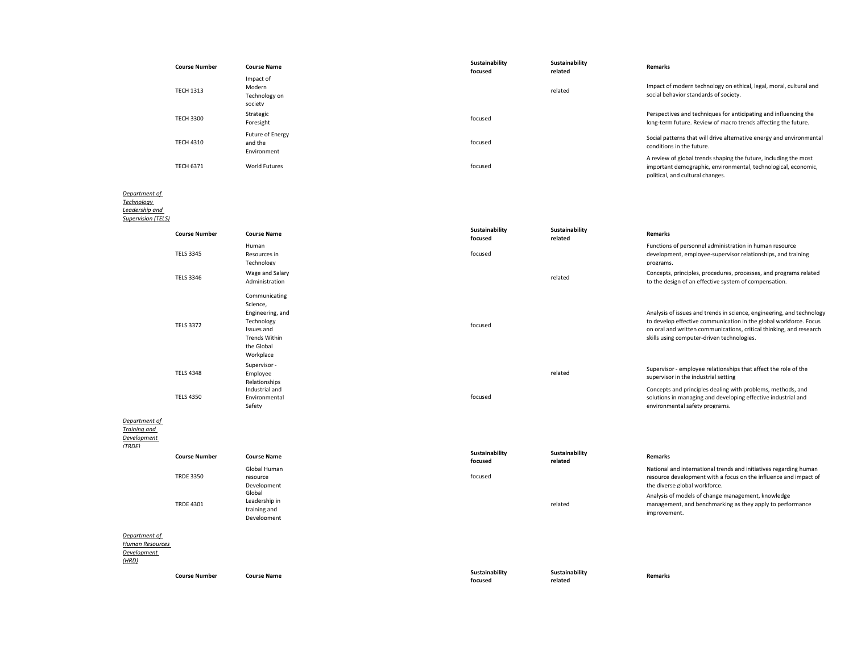| <b>Course Number</b> | <b>Course Name</b>                              | Sustainability<br>focused | Sustainability<br>related | <b>Remarks</b>                                                                                                                                                         |
|----------------------|-------------------------------------------------|---------------------------|---------------------------|------------------------------------------------------------------------------------------------------------------------------------------------------------------------|
| <b>TECH 1313</b>     | Impact of<br>Modern<br>Technology on<br>society |                           | related                   | Impact of modern technology on ethical, legal, moral, cultural and<br>social behavior standards of society.                                                            |
| <b>TECH 3300</b>     | Strategic<br>Foresight                          | focused                   |                           | Perspectives and techniques for anticipating and influencing the<br>long-term future. Review of macro trends affecting the future.                                     |
| <b>TECH 4310</b>     | Future of Energy<br>and the<br>Environment      | focused                   |                           | Social patterns that will drive alternative energy and environmental<br>conditions in the future.                                                                      |
| <b>TECH 6371</b>     | <b>World Futures</b>                            | focused                   |                           | A review of global trends shaping the future, including the most<br>important demographic, environmental, technological, economic,<br>political, and cultural changes. |
|                      |                                                 |                           |                           |                                                                                                                                                                        |

#### *Department of Technology*

*Leadership and* 

*Supervision (TELS)*

|                                                          | <b>Course Number</b> | <b>Course Name</b>                                                                                                    | Sustainability<br>focused | Sustainability<br>related | <b>Remarks</b>                                                                                                                                                                                                                                                  |
|----------------------------------------------------------|----------------------|-----------------------------------------------------------------------------------------------------------------------|---------------------------|---------------------------|-----------------------------------------------------------------------------------------------------------------------------------------------------------------------------------------------------------------------------------------------------------------|
|                                                          | <b>TELS 3345</b>     | Human<br>Resources in<br>Technology                                                                                   | focused                   |                           | Functions of personnel administration in human resource<br>development, employee-supervisor relationships, and training<br>programs.                                                                                                                            |
|                                                          | <b>TELS 3346</b>     | Wage and Salary<br>Administration                                                                                     |                           | related                   | Concepts, principles, procedures, processes, and programs related<br>to the design of an effective system of compensation.                                                                                                                                      |
|                                                          | <b>TELS 3372</b>     | Communicating<br>Science,<br>Engineering, and<br>Technology<br>Issues and<br>Trends Within<br>the Global<br>Workplace | focused                   |                           | Analysis of issues and trends in science, engineering, and technology<br>to develop effective communication in the global workforce. Focus<br>on oral and written communications, critical thinking, and research<br>skills using computer-driven technologies. |
|                                                          | <b>TELS 4348</b>     | Supervisor -<br>Employee<br>Relationships                                                                             |                           | related                   | Supervisor - employee relationships that affect the role of the<br>supervisor in the industrial setting                                                                                                                                                         |
|                                                          | <b>TELS 4350</b>     | Industrial and<br>Environmental<br>Safety                                                                             | focused                   |                           | Concepts and principles dealing with problems, methods, and<br>solutions in managing and developing effective industrial and<br>environmental safety programs.                                                                                                  |
| Department of<br>Training and<br>Development<br>(TRDE)   |                      |                                                                                                                       |                           |                           |                                                                                                                                                                                                                                                                 |
|                                                          | <b>Course Number</b> | <b>Course Name</b>                                                                                                    | Sustainability<br>focused | Sustainability<br>related | <b>Remarks</b>                                                                                                                                                                                                                                                  |
|                                                          | <b>TRDE 3350</b>     | Global Human<br>resource<br>Development<br>Global                                                                     | focused                   |                           | National and international trends and initiatives regarding human<br>resource development with a focus on the influence and impact of<br>the diverse global workforce.<br>Analysis of models of change management, knowledge                                    |
|                                                          | <b>TRDE 4301</b>     | Leadership in<br>training and<br>Develonment                                                                          |                           | related                   | management, and benchmarking as they apply to performance<br>improvement.                                                                                                                                                                                       |
| Department of<br>Human Resources<br>Development<br>(HRD) |                      |                                                                                                                       |                           |                           |                                                                                                                                                                                                                                                                 |

**Course Number Course Name Course Name Course Name Sustainability** 

**focused**

**Sustainability** 

**related Remarks**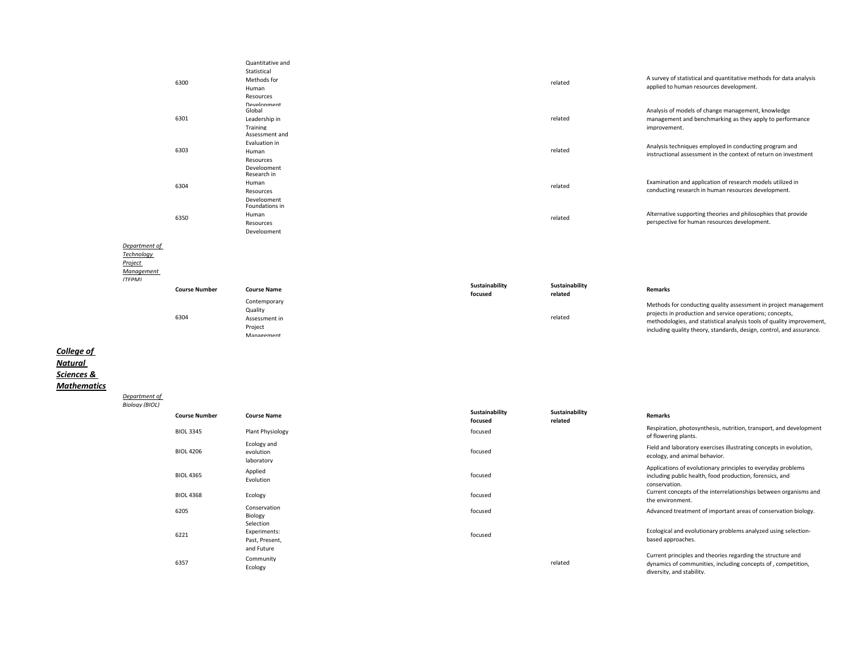|                                                                       | 6300                 | Quantitative and<br>Statistical<br>Methods for<br>Human<br>Resources |                           | related                   | A survey of statistical and quantitative methods for data analysis<br>applied to human resources development.                                                                                                                                                                |
|-----------------------------------------------------------------------|----------------------|----------------------------------------------------------------------|---------------------------|---------------------------|------------------------------------------------------------------------------------------------------------------------------------------------------------------------------------------------------------------------------------------------------------------------------|
|                                                                       | 6301                 | Development<br>Global<br>Leadership in<br>Training<br>Assessment and |                           | related                   | Analysis of models of change management, knowledge<br>management and benchmarking as they apply to performance<br>improvement.                                                                                                                                               |
|                                                                       | 6303                 | Evaluation in<br>Human<br>Resources<br>Development                   |                           | related                   | Analysis techniques employed in conducting program and<br>instructional assessment in the context of return on investment                                                                                                                                                    |
|                                                                       | 6304                 | Research in<br>Human<br>Resources<br>Development                     |                           | related                   | Examination and application of research models utilized in<br>conducting research in human resources development.                                                                                                                                                            |
|                                                                       | 6350                 | Foundations in<br>Human<br>Resources<br>Development                  |                           | related                   | Alternative supporting theories and philosophies that provide<br>perspective for human resources development.                                                                                                                                                                |
| Department of<br>Technology<br><b>Project</b><br>Management<br>(TFPM) |                      |                                                                      |                           |                           |                                                                                                                                                                                                                                                                              |
|                                                                       | <b>Course Number</b> | <b>Course Name</b>                                                   | Sustainability<br>focused | Sustainability<br>related | <b>Remarks</b>                                                                                                                                                                                                                                                               |
|                                                                       | 6304                 | Contemporary<br>Quality<br>Assessment in<br>Project<br>Management    |                           | related                   | Methods for conducting quality assessment in project management<br>projects in production and service operations; concepts,<br>methodologies, and statistical analysis tools of quality improvement,<br>including quality theory, standards, design, control, and assurance. |
|                                                                       |                      |                                                                      |                           |                           |                                                                                                                                                                                                                                                                              |

*College of* 

*Natural* 

*Sciences &* 

*Mathematics*

*Department of* 

*Biology (BIOL)* **Course Number Course Name Sustainability focused Sustainability related Remarks** BIOL 3345 Plant Physiology examples and the second recused respiration, photosynthesis, nutrition, transport, and development of flowering plants. BIOL 4206 Ecology and evolution laboratory focused Field and laboratory exercises illustrating concepts in evolution, ecology, and animal behavior. BIOL 4365 **Applied**<br>Evolution Evolution focused Applications of evolutionary principles to everyday problems including public health, food production, forensics, and conservation. BIOL 4368 Ecology Ecology **Ecology Ecology Ecology Current concepts of the interrelationships between organisms and** the environment. <sup>6205</sup> Conservation Biology focused Advanced treatment of important areas of conservation biology. 6221 Selection Experiments: Past, Present, and Future focused Ecological and evolutionary problems analyzed using selectionbased approaches. <sup>6357</sup> Community economically related<br>Ecology related Current principles and theories regarding the structure and dynamics of communities, including concepts of , competition,

diversity, and stability.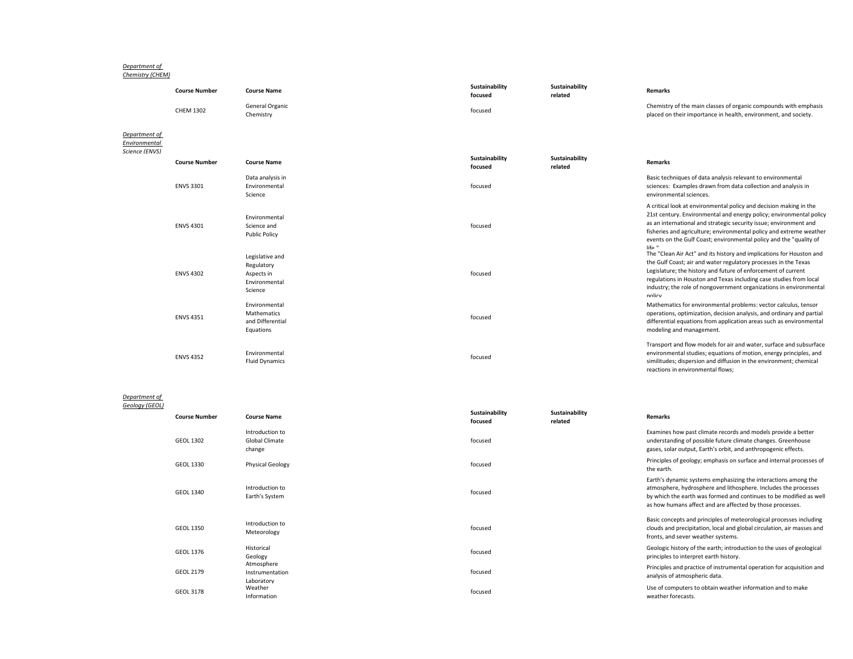#### *Department of Chemistry (CHEM)*

|                                | <b>Course Number</b> | <b>Course Name</b>                                                      | Sustainability<br>focused | Sustainability<br>related | <b>Remarks</b>                                                                                                                                                                                                                                                                                                                                                        |
|--------------------------------|----------------------|-------------------------------------------------------------------------|---------------------------|---------------------------|-----------------------------------------------------------------------------------------------------------------------------------------------------------------------------------------------------------------------------------------------------------------------------------------------------------------------------------------------------------------------|
|                                | <b>CHEM 1302</b>     | General Organic<br>Chemistry                                            | focused                   |                           | Chemistry of the main classes of organic compounds with emphasis<br>placed on their importance in health, environment, and society.                                                                                                                                                                                                                                   |
| Department of<br>Environmental |                      |                                                                         |                           |                           |                                                                                                                                                                                                                                                                                                                                                                       |
| Science (ENVS)                 | <b>Course Number</b> | <b>Course Name</b>                                                      | Sustainability<br>focused | Sustainability<br>related | <b>Remarks</b>                                                                                                                                                                                                                                                                                                                                                        |
|                                | <b>ENVS 3301</b>     | Data analysis in<br>Environmental<br>Science                            | focused                   |                           | Basic techniques of data analysis relevant to environmental<br>sciences: Examples drawn from data collection and analysis in<br>environmental sciences.                                                                                                                                                                                                               |
|                                | <b>ENVS 4301</b>     | Environmental<br>Science and<br><b>Public Policy</b>                    | focused                   |                           | A critical look at environmental policy and decision making in the<br>21st century. Environmental and energy policy; environmental policy<br>as an international and strategic security issue; environment and<br>fisheries and agriculture; environmental policy and extreme weather<br>events on the Gulf Coast; environmental policy and the "quality of<br>life " |
|                                | <b>ENVS 4302</b>     | Legislative and<br>Regulatory<br>Aspects in<br>Fnvironmental<br>Science | focused                   |                           | The "Clean Air Act" and its history and implications for Houston and<br>the Gulf Coast; air and water regulatory processes in the Texas<br>Legislature; the history and future of enforcement of current<br>regulations in Houston and Texas including case studies from local<br>industry; the role of nongovernment organizations in environmental<br>nolicy        |
|                                | <b>ENVS 4351</b>     | Environmental<br>Mathematics<br>and Differential<br>Equations           | focused                   |                           | Mathematics for environmental problems: vector calculus, tensor<br>operations, optimization, decision analysis, and ordinary and partial<br>differential equations from application areas such as environmental<br>modeling and management.                                                                                                                           |
|                                | <b>ENVS 4352</b>     | Environmental<br><b>Fluid Dynamics</b>                                  | focused                   |                           | Transport and flow models for air and water, surface and subsurface<br>environmental studies; equations of motion, energy principles, and<br>similitudes; dispersion and diffusion in the environment; chemical<br>reactions in environmental flows:                                                                                                                  |

# *Department of Geology (GEOL)*

| <b>Course Number</b> | <b>Course Name</b>                                 | Sustainability<br>focused | Sustainability<br>related | <b>Remarks</b>                                                                                                                                                                                                                                                       |
|----------------------|----------------------------------------------------|---------------------------|---------------------------|----------------------------------------------------------------------------------------------------------------------------------------------------------------------------------------------------------------------------------------------------------------------|
| <b>GEOL 1302</b>     | Introduction to<br><b>Global Climate</b><br>change | focused                   |                           | Examines how past climate records and models provide a better<br>understanding of possible future climate changes. Greenhouse<br>gases, solar output, Earth's orbit, and anthropogenic effects.                                                                      |
| GEOL 1330            | <b>Physical Geology</b>                            | focused                   |                           | Principles of geology; emphasis on surface and internal processes of<br>the earth.                                                                                                                                                                                   |
| GEOL 1340            | Introduction to<br>Earth's System                  | focused                   |                           | Earth's dynamic systems emphasizing the interactions among the<br>atmosphere, hydrosphere and lithosphere. Includes the processes<br>by which the earth was formed and continues to be modified as well<br>as how humans affect and are affected by those processes. |
| <b>GEOL 1350</b>     | Introduction to<br>Meteorology                     | focused                   |                           | Basic concepts and principles of meteorological processes including<br>clouds and precipitation, local and global circulation, air masses and<br>fronts, and sever weather systems.                                                                                  |
| GEOL 1376            | Historical<br>Geology                              | focused                   |                           | Geologic history of the earth; introduction to the uses of geological<br>principles to interpret earth history.                                                                                                                                                      |
| <b>GEOL 2179</b>     | Atmosphere<br>Instrumentation<br>Laboratory        | focused                   |                           | Principles and practice of instrumental operation for acquisition and<br>analysis of atmospheric data.                                                                                                                                                               |
| <b>GEOL 3178</b>     | Weather<br>Information                             | focused                   |                           | Use of computers to obtain weather information and to make<br>weather forecasts.                                                                                                                                                                                     |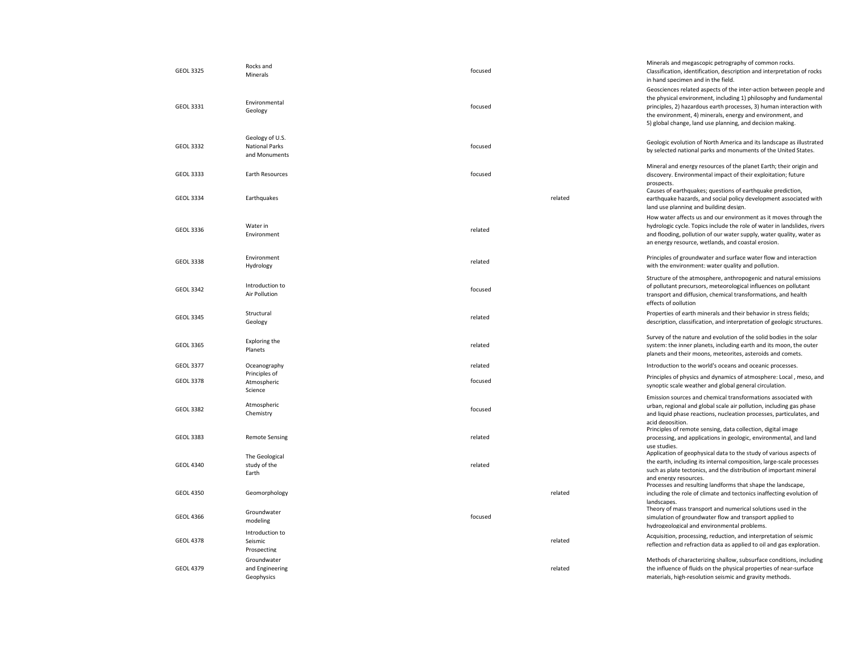| <b>GEOL 3325</b> | Rocks and<br>Minerals                                     | focused |         | Minerals and megascopic petrography of common rocks.<br>Classification, identification, description and interpretation of rocks<br>in hand specimen and in the field.                                                                                                                                                                    |
|------------------|-----------------------------------------------------------|---------|---------|------------------------------------------------------------------------------------------------------------------------------------------------------------------------------------------------------------------------------------------------------------------------------------------------------------------------------------------|
| GEOL 3331        | Environmental<br>Geology                                  | focused |         | Geosciences related aspects of the inter-action between people and<br>the physical environment, including 1) philosophy and fundamental<br>principles, 2) hazardous earth processes, 3) human interaction with<br>the environment, 4) minerals, energy and environment, and<br>5) global change, land use planning, and decision making. |
| <b>GEOL 3332</b> | Geology of U.S.<br><b>National Parks</b><br>and Monuments | focused |         | Geologic evolution of North America and its landscape as illustrated<br>by selected national parks and monuments of the United States.                                                                                                                                                                                                   |
| GEOL 3333        | Earth Resources                                           | focused |         | Mineral and energy resources of the planet Earth; their origin and<br>discovery. Environmental impact of their exploitation; future<br>prospects.<br>Causes of earthquakes; questions of earthquake prediction,                                                                                                                          |
| <b>GEOL 3334</b> | Earthquakes                                               |         | related | earthquake hazards, and social policy development associated with<br>land use planning and building design.                                                                                                                                                                                                                              |
| GEOL 3336        | Water in<br>Environment                                   | related |         | How water affects us and our environment as it moves through the<br>hydrologic cycle. Topics include the role of water in landslides, rivers<br>and flooding, pollution of our water supply, water quality, water as<br>an energy resource, wetlands, and coastal erosion.                                                               |
| <b>GEOL 3338</b> | Environment<br>Hydrology                                  | related |         | Principles of groundwater and surface water flow and interaction<br>with the environment: water quality and pollution.                                                                                                                                                                                                                   |
| <b>GEOL 3342</b> | Introduction to<br>Air Pollution                          | focused |         | Structure of the atmosphere, anthropogenic and natural emissions<br>of pollutant precursors, meteorological influences on pollutant<br>transport and diffusion, chemical transformations, and health<br>effects of pollution                                                                                                             |
| <b>GEOL 3345</b> | Structural<br>Geology                                     | related |         | Properties of earth minerals and their behavior in stress fields;<br>description, classification, and interpretation of geologic structures.                                                                                                                                                                                             |
| GEOL 3365        | Exploring the<br>Planets                                  | related |         | Survey of the nature and evolution of the solid bodies in the solar<br>system: the inner planets, including earth and its moon, the outer<br>planets and their moons, meteorites, asteroids and comets.                                                                                                                                  |
| <b>GEOL 3377</b> | Oceanography<br>Principles of                             | related |         | Introduction to the world's oceans and oceanic processes.                                                                                                                                                                                                                                                                                |
| <b>GEOL 3378</b> | Atmospheric<br>Science                                    | focused |         | Principles of physics and dynamics of atmosphere: Local, meso, and<br>synoptic scale weather and global general circulation.                                                                                                                                                                                                             |
| <b>GEOL 3382</b> | Atmospheric<br>Chemistry                                  | focused |         | Emission sources and chemical transformations associated with<br>urban, regional and global scale air pollution, including gas phase<br>and liquid phase reactions, nucleation processes, particulates, and<br>acid denosition.<br>Principles of remote sensing, data collection, digital image                                          |
| <b>GEOL 3383</b> | <b>Remote Sensing</b>                                     | related |         | processing, and applications in geologic, environmental, and land<br>use studies.                                                                                                                                                                                                                                                        |
| <b>GEOL 4340</b> | The Geological<br>study of the<br>Earth                   | related |         | Application of geophysical data to the study of various aspects of<br>the earth, including its internal composition, large-scale processes<br>such as plate tectonics, and the distribution of important mineral<br>and energy resources.<br>Processes and resulting landforms that shape the landscape,                                 |
| <b>GEOL 4350</b> | Geomorphology                                             |         | related | including the role of climate and tectonics inaffecting evolution of<br>landscapes.                                                                                                                                                                                                                                                      |
| <b>GEOL 4366</b> | Groundwater<br>modeling                                   | focused |         | Theory of mass transport and numerical solutions used in the<br>simulation of groundwater flow and transport applied to<br>hydrogeological and environmental problems.                                                                                                                                                                   |
| <b>GEOL 4378</b> | Introduction to<br>Seismic<br>Prospecting                 |         | related | Acquisition, processing, reduction, and interpretation of seismic<br>reflection and refraction data as applied to oil and gas exploration.                                                                                                                                                                                               |
| <b>GEOL 4379</b> | Groundwater<br>and Engineering<br>Geophysics              |         | related | Methods of characterizing shallow, subsurface conditions, including<br>the influence of fluids on the physical properties of near-surface<br>materials, high-resolution seismic and gravity methods.                                                                                                                                     |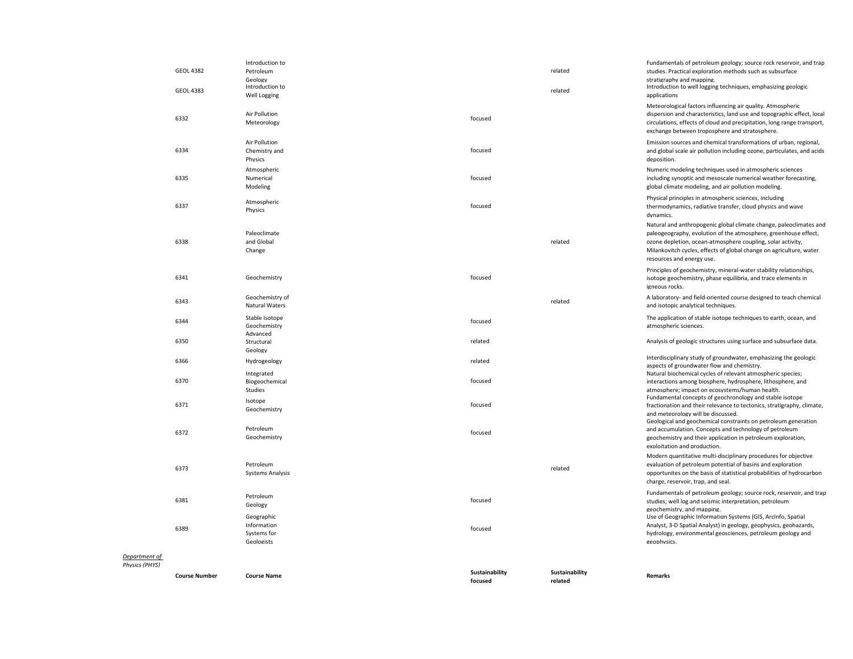|                                 | <b>GEOL 4382</b><br><b>GEOL 4383</b> | Introduction to<br>Petroleum<br>Geology<br>Introduction to<br>Well Logging |                           | related<br>related        | Fundamentals of petroleum geology; source rock reservoir, and trap<br>studies. Practical exploration methods such as subsurface<br>stratigraphy and mapping.<br>Introduction to well logging techniques, emphasizing geologic<br>applications                                                            |
|---------------------------------|--------------------------------------|----------------------------------------------------------------------------|---------------------------|---------------------------|----------------------------------------------------------------------------------------------------------------------------------------------------------------------------------------------------------------------------------------------------------------------------------------------------------|
|                                 | 6332                                 | Air Pollution<br>Meteorology                                               | focused                   |                           | Meteorological factors influencing air quality. Atmospheric<br>dispersion and characteristics, land use and topographic effect, local<br>circulations, effects of cloud and precipitation, long range transport,<br>exchange between troposphere and stratosphere.                                       |
|                                 | 6334                                 | Air Pollution<br>Chemistry and<br>Physics                                  | focused                   |                           | Emission sources and chemical transformations of urban, regional,<br>and global scale air pollution including ozone, particulates, and acids<br>deposition.                                                                                                                                              |
|                                 | 6335                                 | Atmospheric<br>Numerical<br>Modeling                                       | focused                   |                           | Numeric modeling techniques used in atmospheric sciences<br>including synoptic and mesoscale numerical weather forecasting,<br>global climate modeling, and air pollution modeling.                                                                                                                      |
|                                 | 6337                                 | Atmospheric<br>Physics                                                     | focused                   |                           | Physical principles in atmospheric sciences, including<br>thermodynamics, radiative transfer, cloud physics and wave<br>dynamics.                                                                                                                                                                        |
|                                 | 6338                                 | Paleoclimate<br>and Global<br>Change                                       |                           | related                   | Natural and anthropogenic global climate change, paleoclimates and<br>paleogeography, evolution of the atmosphere, greenhouse effect,<br>ozone depletion, ocean-atmosphere coupling, solar activity,<br>Milankovitch cycles, effects of global change on agriculture, water<br>resources and energy use. |
|                                 | 6341                                 | Geochemistry                                                               | focused                   |                           | Principles of geochemistry, mineral-water stability relationships,<br>isotope geochemistry, phase equilibria, and trace elements in<br>igneous rocks.                                                                                                                                                    |
|                                 | 6343                                 | Geochemistry of<br><b>Natural Waters</b>                                   |                           | related                   | A laboratory- and field-oriented course designed to teach chemical<br>and isotopic analytical techniques.                                                                                                                                                                                                |
|                                 | 6344                                 | Stable Isotope<br>Geochemistry                                             | focused                   |                           | The application of stable isotope techniques to earth, ocean, and<br>atmospheric sciences.                                                                                                                                                                                                               |
|                                 | 6350                                 | Advanced<br>Structural<br>Geology                                          | related                   |                           | Analysis of geologic structures using surface and subsurface data.                                                                                                                                                                                                                                       |
|                                 | 6366                                 | Hydrogeology<br>Integrated                                                 | related                   |                           | Interdisciplinary study of groundwater, emphasizing the geologic<br>aspects of groundwater flow and chemistry.<br>Natural biochemical cycles of relevant atmospheric species;                                                                                                                            |
|                                 | 6370                                 | Biogeochemical<br>Studies                                                  | focused                   |                           | interactions among biosphere, hydrosphere, lithosphere, and<br>atmosphere; impact on ecosystems/human health.                                                                                                                                                                                            |
|                                 | 6371                                 | Isotope<br>Geochemistry                                                    | focused                   |                           | Fundamental concepts of geochronology and stable isotope<br>fractionation and their relevance to tectonics, stratigraphy, climate,<br>and meteorology will be discussed.                                                                                                                                 |
|                                 | 6372                                 | Petroleum<br>Geochemistry                                                  | focused                   |                           | Geological and geochemical constraints on petroleum generation<br>and accumulation. Concepts and technology of petroleum<br>geochemistry and their application in petroleum exploration,<br>exploitation and production.                                                                                 |
|                                 | 6373                                 | Petroleum<br><b>Systems Analysis</b>                                       |                           | related                   | Modern quantitative multi-disciplinary procedures for objective<br>evaluation of petroleum potential of basins and exploration<br>opportunites on the basis of statistical probabilities of hydrocarbon<br>charge, reservoir, trap, and seal.                                                            |
|                                 | 6381                                 | Petroleum<br>Geology                                                       | focused                   |                           | Fundamentals of petroleum geology; source rock, reservoir, and trap<br>studies; well log and seismic interpretation, petroleum<br>geochemistry, and mapping.                                                                                                                                             |
|                                 | 6389                                 | Geographic<br>Information<br>Systems for<br>Geologists                     | focused                   |                           | Use of Geographic Information Systems (GIS, ArcInfo, Spatial<br>Analyst, 3-D Spatial Analyst) in geology, geophysics, geohazards,<br>hydrology, environmental geosciences, petroleum geology and<br>geophysics.                                                                                          |
| Department of<br>Physics (PHYS) |                                      |                                                                            |                           |                           |                                                                                                                                                                                                                                                                                                          |
|                                 | <b>Course Number</b>                 | <b>Course Name</b>                                                         | Sustainability<br>focused | Sustainability<br>related | <b>Remarks</b>                                                                                                                                                                                                                                                                                           |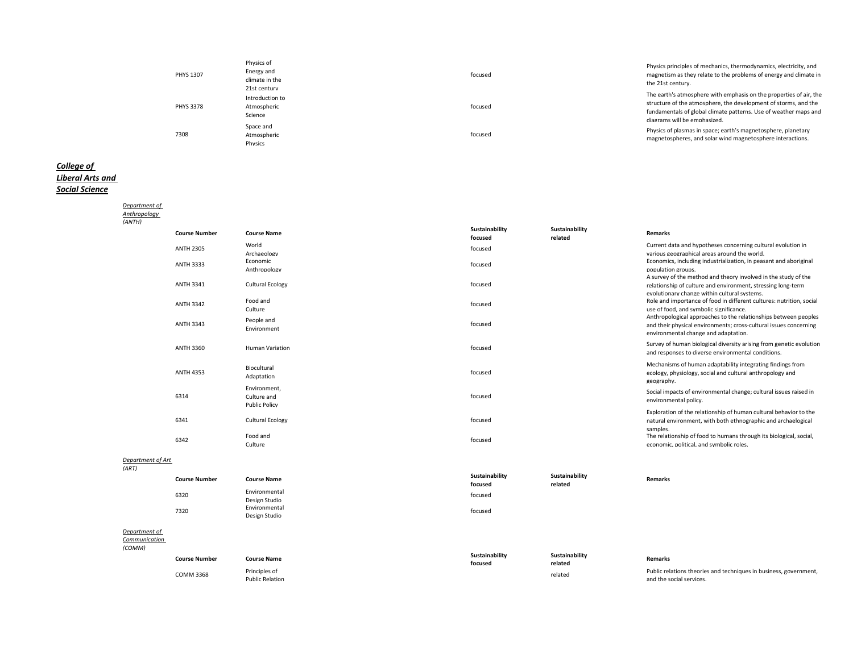| <b>PHYS 1307</b> | Physics of<br>Energy and<br>climate in the<br>21st century | focused | Physics principles of mechanics, thermodynamics, electricity, and<br>magnetism as they relate to the problems of energy and climate in<br>the 21st century.                                                                               |
|------------------|------------------------------------------------------------|---------|-------------------------------------------------------------------------------------------------------------------------------------------------------------------------------------------------------------------------------------------|
| <b>PHYS 3378</b> | Introduction to<br>Atmospheric<br>Science                  | focused | The earth's atmosphere with emphasis on the properties of air, the<br>structure of the atmosphere, the development of storms, and the<br>fundamentals of global climate patterns. Use of weather maps and<br>diagrams will be emphasized. |
| 7308             | Space and<br>Atmospheric<br>Physics                        | focused | Physics of plasmas in space; earth's magnetosphere, planetary<br>magnetospheres, and solar wind magnetosphere interactions.                                                                                                               |

## *College of Liberal Arts and Social Science*

| Department of              |                      |                                                     |                           |                           |                                                                                                                                                                              |
|----------------------------|----------------------|-----------------------------------------------------|---------------------------|---------------------------|------------------------------------------------------------------------------------------------------------------------------------------------------------------------------|
| Anthropology               |                      |                                                     |                           |                           |                                                                                                                                                                              |
| (ANTH)                     |                      |                                                     |                           |                           |                                                                                                                                                                              |
|                            | <b>Course Number</b> | <b>Course Name</b>                                  | Sustainability<br>focused | Sustainability<br>related | <b>Remarks</b>                                                                                                                                                               |
|                            | <b>ANTH 2305</b>     | World<br>Archaeology                                | focused                   |                           | Current data and hypotheses concerning cultural evolution in<br>various geographical areas around the world.                                                                 |
|                            | <b>ANTH 3333</b>     | Economic<br>Anthropology                            | focused                   |                           | Economics, including industrialization, in peasant and aboriginal<br>population groups.<br>A survey of the method and theory involved in the study of the                    |
|                            | <b>ANTH 3341</b>     | <b>Cultural Ecology</b>                             | focused                   |                           | relationship of culture and environment, stressing long-term<br>evolutionary change within cultural systems.                                                                 |
|                            | <b>ANTH 3342</b>     | Food and<br>Culture                                 | focused                   |                           | Role and importance of food in different cultures: nutrition, social<br>use of food, and symbolic significance.                                                              |
|                            | <b>ANTH 3343</b>     | People and<br>Environment                           | focused                   |                           | Anthropological approaches to the relationships between peoples<br>and their physical environments; cross-cultural issues concerning<br>environmental change and adaptation. |
|                            | ANTH 3360            | <b>Human Variation</b>                              | focused                   |                           | Survey of human biological diversity arising from genetic evolution<br>and responses to diverse environmental conditions.                                                    |
|                            | <b>ANTH 4353</b>     | Biocultural<br>Adaptation                           | focused                   |                           | Mechanisms of human adaptability integrating findings from<br>ecology, physiology, social and cultural anthropology and<br>geography.                                        |
|                            | 6314                 | Environment,<br>Culture and<br><b>Public Policy</b> | focused                   |                           | Social impacts of environmental change; cultural issues raised in<br>environmental policy.                                                                                   |
|                            | 6341                 | <b>Cultural Ecology</b>                             | focused                   |                           | Exploration of the relationship of human cultural behavior to the<br>natural environment, with both ethnographic and archaelogical<br>samples.                               |
|                            | 6342                 | Food and<br>Culture                                 | focused                   |                           | The relationship of food to humans through its biological, social,<br>economic, political, and symbolic roles.                                                               |
| Department of Art<br>(ART) |                      |                                                     |                           |                           |                                                                                                                                                                              |
|                            | <b>Course Number</b> | <b>Course Name</b>                                  | Sustainability<br>focused | Sustainability<br>related | <b>Remarks</b>                                                                                                                                                               |
|                            | 6320                 | Environmental<br>Design Studio                      | focused                   |                           |                                                                                                                                                                              |
|                            | 7320                 | Environmental<br>Design Studio                      | focused                   |                           |                                                                                                                                                                              |
| Department of              |                      |                                                     |                           |                           |                                                                                                                                                                              |
| Communication              |                      |                                                     |                           |                           |                                                                                                                                                                              |

| (COMM) |                      |                                         |                           |                           |                                                                                               |
|--------|----------------------|-----------------------------------------|---------------------------|---------------------------|-----------------------------------------------------------------------------------------------|
|        | <b>Course Number</b> | <b>Course Name</b>                      | Sustainability<br>focused | Sustainability<br>related | Remarks                                                                                       |
|        | <b>COMM 3368</b>     | Principles of<br><b>Public Relation</b> |                           | related                   | Public relations theories and techniques in business, government,<br>and the social services. |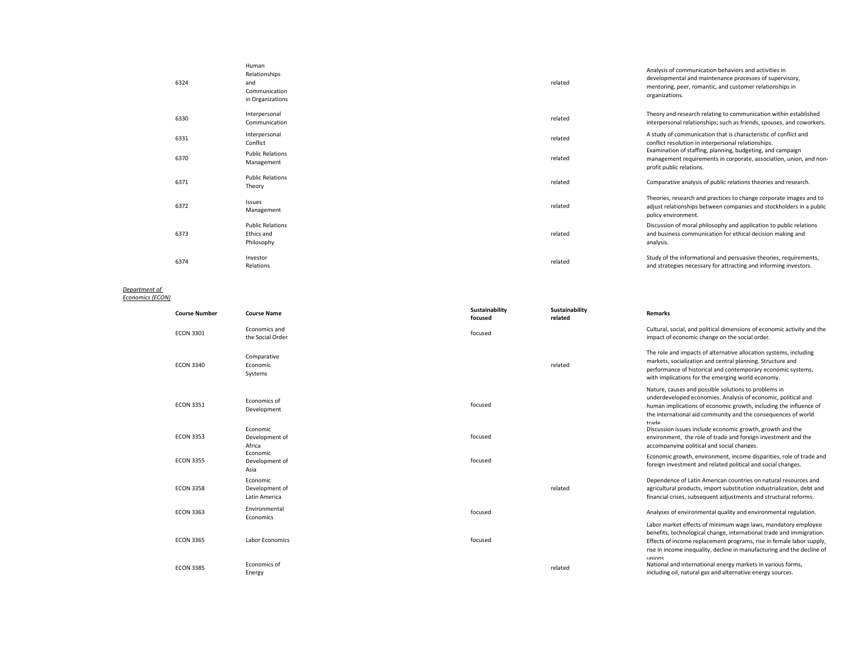| 6324 | Human<br>Relationships<br>and<br>Communication<br>in Organizations | related | Analysis of communication behaviors and activities in<br>developmental and maintenance processes of supervisory,<br>mentoring, peer, romantic, and customer relationships in<br>organizations. |
|------|--------------------------------------------------------------------|---------|------------------------------------------------------------------------------------------------------------------------------------------------------------------------------------------------|
| 6330 | Interpersonal<br>Communication                                     | related | Theory and research relating to communication within established<br>interpersonal relationships; such as friends, spouses, and coworkers.                                                      |
| 6331 | Interpersonal<br>Conflict                                          | related | A study of communication that is characteristic of conflict and<br>conflict resolution in interpersonal relationships.                                                                         |
| 6370 | <b>Public Relations</b><br>Management                              | related | Examination of staffing, planning, budgeting, and campaign<br>management requirements in corporate, association, union, and non-<br>profit public relations.                                   |
| 6371 | <b>Public Relations</b><br>Theory                                  | related | Comparative analysis of public relations theories and research.                                                                                                                                |
| 6372 | Issues<br>Management                                               | related | Theories, research and practices to change corporate images and to<br>adjust relationships between companies and stockholders in a public<br>policy environment.                               |
| 6373 | <b>Public Relations</b><br>Ethics and<br>Philosophy                | related | Discussion of moral philosophy and application to public relations<br>and business communication for ethical decision making and<br>analysis.                                                  |
| 6374 | Investor<br>Relations                                              | related | Study of the informational and persuasive theories, requirements,<br>and strategies necessary for attracting and informing investors.                                                          |

#### *Department of Economics (ECON)*

| <b>Course Number</b> | <b>Course Name</b>                          | Sustainability<br>focused | Sustainability<br>related | <b>Remarks</b>                                                                                                                                                                                                                                                                          |
|----------------------|---------------------------------------------|---------------------------|---------------------------|-----------------------------------------------------------------------------------------------------------------------------------------------------------------------------------------------------------------------------------------------------------------------------------------|
| <b>ECON 3301</b>     | Economics and<br>the Social Order           | focused                   |                           | Cultural, social, and political dimensions of economic activity and the<br>impact of economic change on the social order.                                                                                                                                                               |
| <b>ECON 3340</b>     | Comparative<br>Economic<br>Systems          |                           | related                   | The role and impacts of alternative allocation systems, including<br>markets, socialization and central planning. Structure and<br>performance of historical and contemporary economic systems,<br>with implications for the emerging world economy.                                    |
| <b>ECON 3351</b>     | Economics of<br>Development                 | focused                   |                           | Nature, causes and possible solutions to problems in<br>underdeveloped economies. Analysis of economic, political and<br>human implications of economic growth, including the influence of<br>the international aid community and the consequences of world<br>trade                    |
| <b>ECON 3353</b>     | Economic<br>Development of<br>Africa        | focused                   |                           | Discussion issues include economic growth, growth and the<br>environment, the role of trade and foreign investment and the<br>accompanying political and social changes.                                                                                                                |
| <b>ECON 3355</b>     | Economic<br>Development of<br>Asia          | focused                   |                           | Economic growth, environment, income disparities, role of trade and<br>foreign investment and related political and social changes.                                                                                                                                                     |
| <b>ECON 3358</b>     | Economic<br>Development of<br>Latin America |                           | related                   | Dependence of Latin American countries on natural resources and<br>agricultural products, import substitution industrialization, debt and<br>financial crises, subsequent adjustments and structural reforms.                                                                           |
| <b>ECON 3363</b>     | Environmental<br>Economics                  | focused                   |                           | Analyses of environmental quality and environmental regulation.                                                                                                                                                                                                                         |
| <b>ECON 3365</b>     | Labor Economics                             | focused                   |                           | Labor market effects of minimum wage laws, mandatory employee<br>benefits, technological change, international trade and immigration.<br>Effects of income replacement programs, rise in female labor supply,<br>rise in income inequality, decline in manufacturing and the decline of |
| <b>ECON 3385</b>     | Economics of<br>Energy                      |                           | related                   | unions<br>National and international energy markets in various forms,<br>including oil, natural gas and alternative energy sources.                                                                                                                                                     |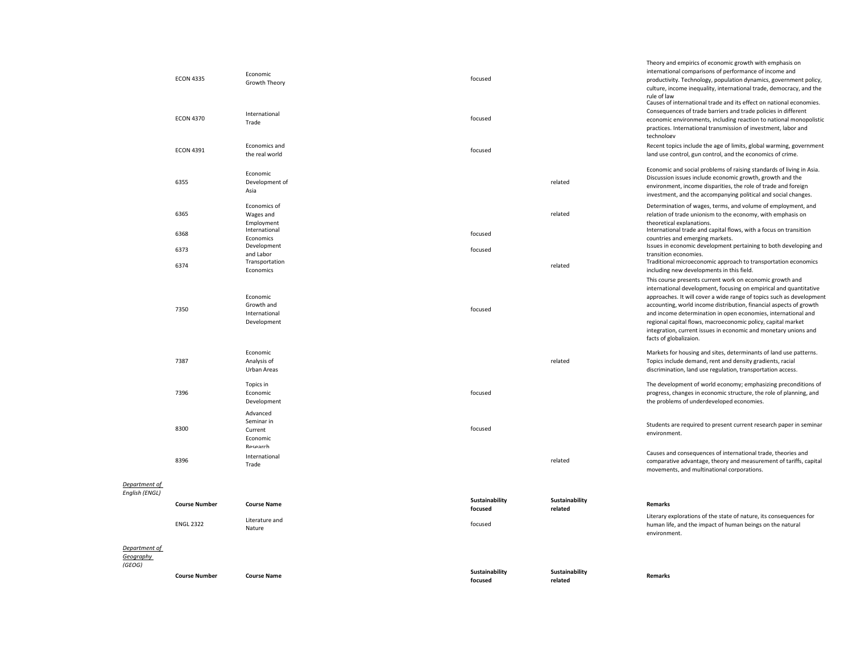| (GEOG)                     | <b>Course Number</b> | <b>Course Name</b>                                     | Sustainability<br>focused | Sustainability<br>related | Remarks                                                                                                                                                                                                                                                                                                                                                                                                                                                                                                   |
|----------------------------|----------------------|--------------------------------------------------------|---------------------------|---------------------------|-----------------------------------------------------------------------------------------------------------------------------------------------------------------------------------------------------------------------------------------------------------------------------------------------------------------------------------------------------------------------------------------------------------------------------------------------------------------------------------------------------------|
| Department of<br>Geography |                      |                                                        |                           |                           |                                                                                                                                                                                                                                                                                                                                                                                                                                                                                                           |
|                            | <b>ENGL 2322</b>     | Literature and<br>Nature                               | focused                   |                           | Literary explorations of the state of nature, its consequences for<br>human life, and the impact of human beings on the natural<br>environment.                                                                                                                                                                                                                                                                                                                                                           |
| English (ENGL)             | <b>Course Number</b> | <b>Course Name</b>                                     | Sustainability<br>focused | Sustainability<br>related | <b>Remarks</b>                                                                                                                                                                                                                                                                                                                                                                                                                                                                                            |
| Department of              |                      |                                                        |                           |                           |                                                                                                                                                                                                                                                                                                                                                                                                                                                                                                           |
|                            | 8396                 | International<br>Trade                                 |                           | related                   | Causes and consequences of international trade, theories and<br>comparative advantage, theory and measurement of tariffs, capital<br>movements, and multinational corporations.                                                                                                                                                                                                                                                                                                                           |
|                            | 8300                 | Current<br>Economic<br>Research                        | focused                   |                           | environment.                                                                                                                                                                                                                                                                                                                                                                                                                                                                                              |
|                            |                      | Advanced<br>Seminar in                                 |                           |                           | Students are required to present current research paper in seminar                                                                                                                                                                                                                                                                                                                                                                                                                                        |
|                            | 7396                 | Topics in<br>Economic<br>Development                   | focused                   |                           | The development of world economy; emphasizing preconditions of<br>progress, changes in economic structure, the role of planning, and<br>the problems of underdeveloped economies.                                                                                                                                                                                                                                                                                                                         |
|                            | 7387                 | Economic<br>Analysis of<br>Urban Areas                 |                           | related                   | Markets for housing and sites, determinants of land use patterns.<br>Topics include demand, rent and density gradients, racial<br>discrimination, land use regulation, transportation access.                                                                                                                                                                                                                                                                                                             |
|                            | 7350                 | Economic<br>Growth and<br>International<br>Development | focused                   |                           | This course presents current work on economic growth and<br>international development, focusing on empirical and quantitative<br>approaches. It will cover a wide range of topics such as development<br>accounting, world income distribution, financial aspects of growth<br>and income determination in open economies, international and<br>regional capital flows, macroeconomic policy, capital market<br>integration, current issues in economic and monetary unions and<br>facts of globalizaion. |
|                            | 6374                 | and Labor<br>Transportation<br>Economics               |                           | related                   | transition economies.<br>Traditional microeconomic approach to transportation economics<br>including new developments in this field.                                                                                                                                                                                                                                                                                                                                                                      |
|                            | 6368<br>6373         | International<br>Economics<br>Development              | focused<br>focused        |                           | International trade and capital flows, with a focus on transition<br>countries and emerging markets.<br>Issues in economic development pertaining to both developing and                                                                                                                                                                                                                                                                                                                                  |
|                            | 6365                 | Economics of<br>Wages and<br>Employment                |                           | related                   | Determination of wages, terms, and volume of employment, and<br>relation of trade unionism to the economy, with emphasis on<br>theoretical explanations.                                                                                                                                                                                                                                                                                                                                                  |
|                            | 6355                 | Economic<br>Development of<br>Asia                     |                           | related                   | Economic and social problems of raising standards of living in Asia.<br>Discussion issues include economic growth, growth and the<br>environment, income disparities, the role of trade and foreign<br>investment, and the accompanying political and social changes.                                                                                                                                                                                                                                     |
|                            | <b>ECON 4391</b>     | Economics and<br>the real world                        | focused                   |                           | Recent topics include the age of limits, global warming, government<br>land use control, gun control, and the economics of crime.                                                                                                                                                                                                                                                                                                                                                                         |
|                            | <b>ECON 4370</b>     | International<br>Trade                                 | focused                   |                           | Causes of international trade and its effect on national economies.<br>Consequences of trade barriers and trade policies in different<br>economic environments, including reaction to national monopolistic<br>practices. International transmission of investment, labor and<br>technology                                                                                                                                                                                                               |
|                            | <b>ECON 4335</b>     | Economic<br>Growth Theory                              | focused                   |                           | international comparisons of performance of income and<br>productivity. Technology, population dynamics, government policy,<br>culture, income inequality, international trade, democracy, and the<br>rule of law                                                                                                                                                                                                                                                                                         |
|                            |                      |                                                        |                           |                           | Theory and empirics of economic growth with emphasis on                                                                                                                                                                                                                                                                                                                                                                                                                                                   |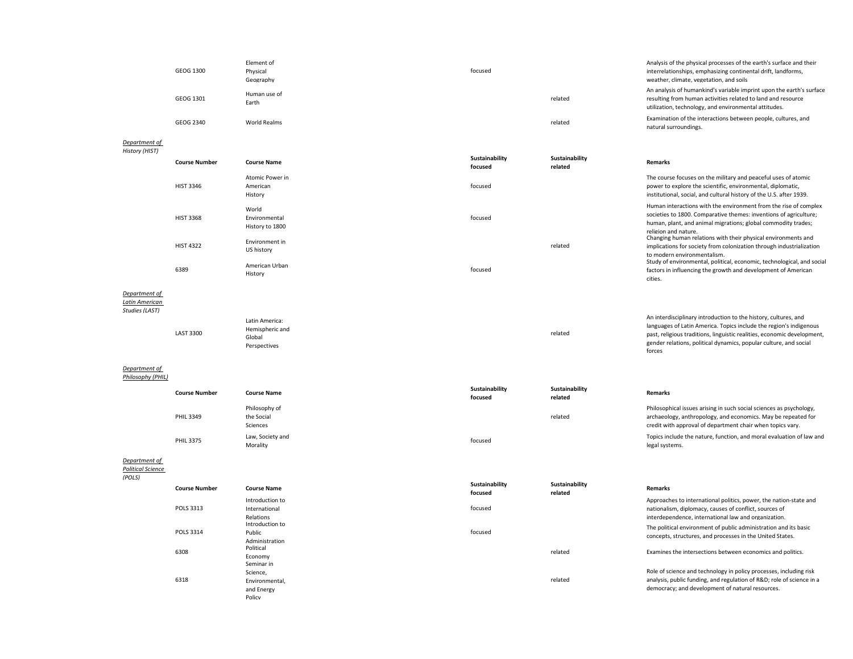|        | GEOG 1300 | Element of<br>Physical<br>Geography | focused |         | Analysis of the physical processes of the earth's surface and their<br>interrelationships, emphasizing continental drift, landforms,<br>weather, climate, vegetation, and soils               |
|--------|-----------|-------------------------------------|---------|---------|-----------------------------------------------------------------------------------------------------------------------------------------------------------------------------------------------|
|        | GEOG 1301 | Human use of<br>Earth               |         | related | An analysis of humankind's variable imprint upon the earth's surface<br>resulting from human activities related to land and resource<br>utilization, technology, and environmental attitudes. |
|        | GEOG 2340 | World Realms                        |         | related | Examination of the interactions between people, cultures, and<br>natural surroundings.                                                                                                        |
| $\sim$ |           |                                     |         |         |                                                                                                                                                                                               |

#### *Department of History (HIST)*

| <b>Course Number</b> | <b>Course Name</b>                        | Sustainability<br>focused | Sustainability<br>related | <b>Remarks</b>                                                                                                                                                                                                                 |
|----------------------|-------------------------------------------|---------------------------|---------------------------|--------------------------------------------------------------------------------------------------------------------------------------------------------------------------------------------------------------------------------|
| <b>HIST 3346</b>     | Atomic Power in<br>American<br>History    | focused                   |                           | The course focuses on the military and peaceful uses of atomic<br>power to explore the scientific, environmental, diplomatic,<br>institutional, social, and cultural history of the U.S. after 1939.                           |
| <b>HIST 3368</b>     | World<br>Environmental<br>History to 1800 | focused                   |                           | Human interactions with the environment from the rise of complex<br>societies to 1800. Comparative themes: inventions of agriculture;<br>human, plant, and animal migrations; global commodity trades;<br>religion and nature. |
| <b>HIST 4322</b>     | Environment in<br>US history              |                           | related                   | Changing human relations with their physical environments and<br>implications for society from colonization through industrialization<br>to modern environmentalism.                                                           |
| 6389                 | American Urban<br>History                 | focused                   |                           | Study of environmental, political, economic, technological, and social<br>factors in influencing the growth and development of American<br>cities.                                                                             |

related

**Sustainability** 

related

#### *Department of*

*Latin American Studies (LAST)*

| AJ 11     |                 |
|-----------|-----------------|
|           | Latin America:  |
| LAST 3300 | Hemispheric and |
|           | Global          |

Perspectives

# *Department of*

*Philosophy (PHIL)*

|               | <b>Course Number</b> | <b>Course Name</b>                      | Sustainability<br>focused | Sustainability<br>related | <b>Remarks</b>                                                                                                                                                                                     |
|---------------|----------------------|-----------------------------------------|---------------------------|---------------------------|----------------------------------------------------------------------------------------------------------------------------------------------------------------------------------------------------|
|               | <b>PHIL 3349</b>     | Philosophy of<br>the Social<br>Sciences |                           | related                   | Philosophical issues arising in such social sciences as psychology,<br>archaeology, anthropology, and economics. May be repeated for<br>credit with approval of department chair when topics vary. |
|               | <b>PHIL 3375</b>     | Law, Society and<br>Morality            | focused                   |                           | Topics include the nature, function, and moral evaluation of law and<br>legal systems.                                                                                                             |
| lenartment of |                      |                                         |                           |                           |                                                                                                                                                                                                    |

# *Department of Political Science*

*(POLS)*

| <b>Course Number</b> | <b>Course Name</b>           | Sustainability<br>focused |
|----------------------|------------------------------|---------------------------|
|                      | Introduction to              |                           |
| POLS 3313            | International                | focused                   |
|                      | Relations<br>Introduction to |                           |
| <b>POLS 3314</b>     | Public                       | focused                   |
| 6308                 | Administration<br>Political  |                           |
|                      | Economy<br>Seminar in        |                           |
|                      | Science,                     |                           |
| 6318                 | Environmental,               |                           |
|                      | and Energy                   |                           |
|                      | Policy                       |                           |

# **related Remarks**

forces

| Introduction to<br>International | focused |         | Approaches to international politics, power, the nation-state and<br>nationalism, diplomacy, causes of conflict, sources of |
|----------------------------------|---------|---------|-----------------------------------------------------------------------------------------------------------------------------|
| Relations                        |         |         | interdependence, international law and organization.                                                                        |
| Introduction to                  |         |         | The political environment of public administration and its basic                                                            |
| Public                           | focused |         | concepts, structures, and processes in the United States.                                                                   |
| Administration                   |         |         |                                                                                                                             |
| Political                        |         | related | Examines the intersections between economics and politics.                                                                  |
| Economy                          |         |         |                                                                                                                             |
| Seminar in                       |         |         |                                                                                                                             |

An interdisciplinary introduction to the history, cultures, and languages of Latin America. Topics include the region's indigenous past, religious traditions, linguistic realities, economic development, gender relations, political dynamics, popular culture, and social

Role of science and technology in policy processes, including risk analysis, public funding, and regulation of R&D; role of science in a democracy; and development of natural resources.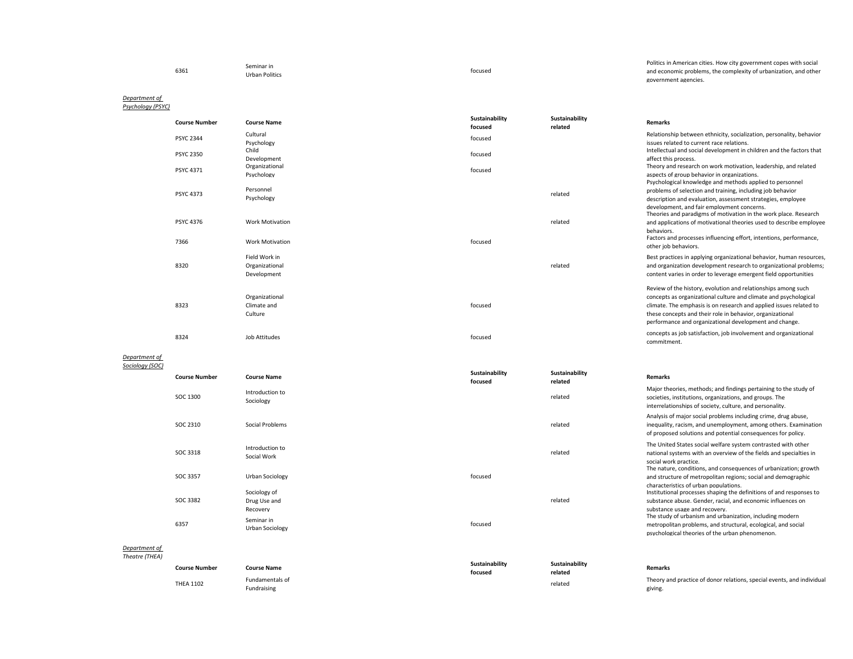|      | Seminar in            |         | Politics in American cities. How city government copes with social |
|------|-----------------------|---------|--------------------------------------------------------------------|
| 6361 | <b>Urban Politics</b> | focused | and economic problems, the complexity of urbanization, and other   |
|      |                       |         | government agencies.                                               |

#### *Department of Psychology (PSYC)*

**Course Number Course Name Sustainability focused Sustainability related Remarks** PSYC 2344 Cultural<br>Psychology Psychology exacts and the relationship between ethnicity, socialization, personality, behavior<br>Psychology issues related to current race relations.<br>Child Child issues related to current race relations. PSYC 2350 Child<br>Development Development focused Intellectual and social development in children and the factors that affect this process. PSYC 4371 Organizational<br>Psychology Psychology focused Theory and research on work motivation, leadership, and related aspects of group behavior in organizations. PSYC 4373<br>Psychology related<br>Psychology related Psychological knowledge and methods applied to personnel problems of selection and training, including job behavior description and evaluation, assessment strategies, employee development, and fair employment concerns. PSYC 4376 Work Motivation related Theories and paradigms of motivation in the work place. Research and applications of motivational theories used to describe employee behaviors. <sup>7366</sup> Work Motivation focused Factors and processes influencing effort, intentions, performance, other job behaviors. 8320 Field Work in Organizational Development related Best practices in applying organizational behavior, human resources, and organization development research to organizational problems; content varies in order to leverage emergent field opportunities 8323 Organizational Climate and Culture focused Review of the history, evolution and relationships among such concepts as organizational culture and climate and psychological climate. The emphasis is on research and applied issues related to these concepts and their role in behavior, organizational performance and organizational development and change. 8324 Job Attitudes concepts as job satisfaction, job involvement and organizational concepts as job satisfaction, job involvement and organizational commitment. *Department of Sociology (SOC)* **Course Number Course Name Sustainability Sustainability** 

| <b>Course Number</b> | <b>Course Name</b>                   | <b>PRIMILIANILLY</b><br>focused | Jujiuniu Jini Y<br>related | <b>Remarks</b>                                                                                                                                                                                                                   |
|----------------------|--------------------------------------|---------------------------------|----------------------------|----------------------------------------------------------------------------------------------------------------------------------------------------------------------------------------------------------------------------------|
| SOC 1300             | Introduction to<br>Sociology         |                                 | related                    | Major theories, methods; and findings pertaining to the study of<br>societies, institutions, organizations, and groups. The<br>interrelationships of society, culture, and personality.                                          |
| SOC 2310             | Social Problems                      |                                 | related                    | Analysis of major social problems including crime, drug abuse,<br>inequality, racism, and unemployment, among others. Examination<br>of proposed solutions and potential consequences for policy.                                |
| SOC 3318             | Introduction to<br>Social Work       |                                 | related                    | The United States social welfare system contrasted with other<br>national systems with an overview of the fields and specialties in<br>social work practice.<br>The nature, conditions, and consequences of urbanization; growth |
| SOC 3357             | Urban Sociology                      | focused                         |                            | and structure of metropolitan regions; social and demographic<br>characteristics of urban populations.                                                                                                                           |
|                      | Sociology of                         |                                 |                            | Institutional processes shaping the definitions of and responses to                                                                                                                                                              |
| SOC 3382             | Drug Use and                         |                                 | related                    | substance abuse. Gender, racial, and economic influences on                                                                                                                                                                      |
|                      | Recovery                             |                                 |                            | substance usage and recovery.                                                                                                                                                                                                    |
| 6357                 | Seminar in<br><b>Urban Sociology</b> | focused                         |                            | The study of urbanism and urbanization, including modern<br>metropolitan problems, and structural, ecological, and social<br>psychological theories of the urban phenomenon.                                                     |
|                      |                                      |                                 |                            |                                                                                                                                                                                                                                  |

#### *Department of*

| Theatre (THEA) |                                     |                    |                           |                           |                                                                        |
|----------------|-------------------------------------|--------------------|---------------------------|---------------------------|------------------------------------------------------------------------|
|                | <b>Course Number</b>                | <b>Course Name</b> | Sustainability<br>focused | Sustainability<br>related | <b>Remarks</b>                                                         |
|                | <b>THEA 1102</b>                    | Fundamentals of    |                           | related                   | Theory and practice of donor relations, special events, and individual |
|                | the contract of the contract of the | Fundraising        |                           | .                         | giving.                                                                |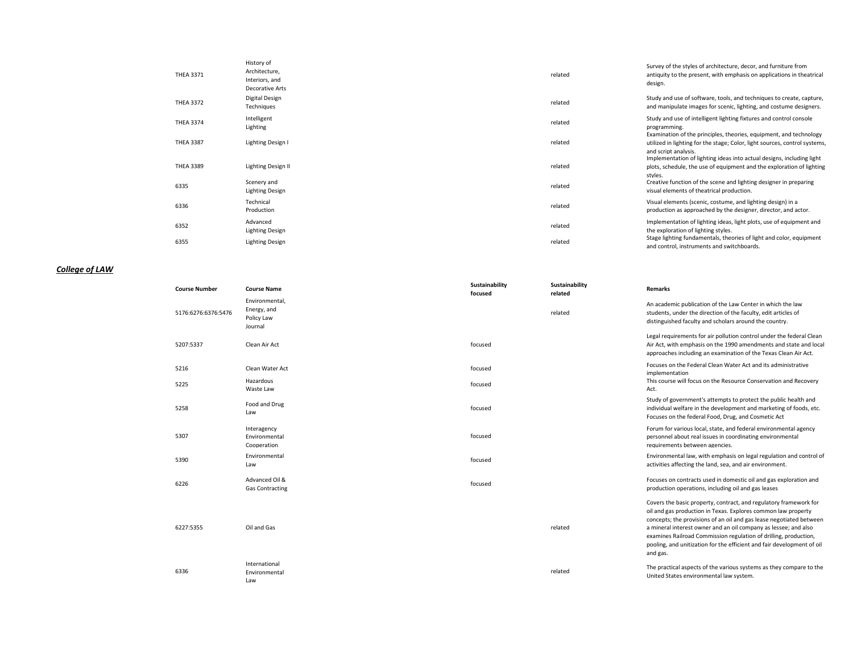| <b>THEA 3371</b> | History of<br>Architecture,<br>Interiors, and<br>Decorative Arts | related | Survey of the styles of architecture, decor, and furniture from<br>antiquity to the present, with emphasis on applications in theatrical<br>design.                                                                                               |
|------------------|------------------------------------------------------------------|---------|---------------------------------------------------------------------------------------------------------------------------------------------------------------------------------------------------------------------------------------------------|
| <b>THEA 3372</b> | Digital Design<br>Techniques                                     | related | Study and use of software, tools, and techniques to create, capture,<br>and manipulate images for scenic, lighting, and costume designers.                                                                                                        |
| <b>THEA 3374</b> | Intelligent<br>Lighting                                          | related | Study and use of intelligent lighting fixtures and control console<br>programming.                                                                                                                                                                |
| <b>THEA 3387</b> | Lighting Design I                                                | related | Examination of the principles, theories, equipment, and technology<br>utilized in lighting for the stage; Color, light sources, control systems,<br>and script analysis.<br>Implementation of lighting ideas into actual designs, including light |
| <b>THEA 3389</b> | Lighting Design II                                               | related | plots, schedule, the use of equipment and the exploration of lighting                                                                                                                                                                             |
| 6335             | Scenery and<br>Lighting Design                                   | related | styles.<br>Creative function of the scene and lighting designer in preparing<br>visual elements of theatrical production.                                                                                                                         |
| 6336             | Technical<br>Production                                          | related | Visual elements (scenic, costume, and lighting design) in a<br>production as approached by the designer, director, and actor.                                                                                                                     |
| 6352             | Advanced<br>Lighting Design                                      | related | Implementation of lighting ideas, light plots, use of equipment and<br>the exploration of lighting styles.                                                                                                                                        |
| 6355             | Lighting Design                                                  | related | Stage lighting fundamentals, theories of light and color, equipment<br>and control, instruments and switchboards.                                                                                                                                 |

## *College of LAW*

| <b>Course Number</b> | <b>Course Name</b>                                     | Sustainability<br>focused | Sustainability<br>related | <b>Remarks</b>                                                                                                                                                                                                                                                                                                                                                                                                                         |
|----------------------|--------------------------------------------------------|---------------------------|---------------------------|----------------------------------------------------------------------------------------------------------------------------------------------------------------------------------------------------------------------------------------------------------------------------------------------------------------------------------------------------------------------------------------------------------------------------------------|
| 5176:6276:6376:5476  | Environmental,<br>Energy, and<br>Policy Law<br>Journal |                           | related                   | An academic publication of the Law Center in which the law<br>students, under the direction of the faculty, edit articles of<br>distinguished faculty and scholars around the country.                                                                                                                                                                                                                                                 |
| 5207:5337            | Clean Air Act                                          | focused                   |                           | Legal requirements for air pollution control under the federal Clean<br>Air Act, with emphasis on the 1990 amendments and state and local<br>approaches including an examination of the Texas Clean Air Act.                                                                                                                                                                                                                           |
| 5216                 | Clean Water Act                                        | focused                   |                           | Focuses on the Federal Clean Water Act and its administrative<br>implementation                                                                                                                                                                                                                                                                                                                                                        |
| 5225                 | Hazardous<br>Waste Law                                 | focused                   |                           | This course will focus on the Resource Conservation and Recovery<br>Act.                                                                                                                                                                                                                                                                                                                                                               |
| 5258                 | Food and Drug<br>Law                                   | focused                   |                           | Study of government's attempts to protect the public health and<br>individual welfare in the development and marketing of foods, etc.<br>Focuses on the federal Food, Drug, and Cosmetic Act                                                                                                                                                                                                                                           |
| 5307                 | Interagency<br>Environmental<br>Cooperation            | focused                   |                           | Forum for various local, state, and federal environmental agency<br>personnel about real issues in coordinating environmental<br>requirements between agencies.                                                                                                                                                                                                                                                                        |
| 5390                 | Environmental<br>Law                                   | focused                   |                           | Environmental law, with emphasis on legal regulation and control of<br>activities affecting the land, sea, and air environment.                                                                                                                                                                                                                                                                                                        |
| 6226                 | Advanced Oil &<br><b>Gas Contracting</b>               | focused                   |                           | Focuses on contracts used in domestic oil and gas exploration and<br>production operations, including oil and gas leases                                                                                                                                                                                                                                                                                                               |
| 6227:5355            | Oil and Gas                                            |                           | related                   | Covers the basic property, contract, and regulatory framework for<br>oil and gas production in Texas. Explores common law property<br>concepts; the provisions of an oil and gas lease negotiated between<br>a mineral interest owner and an oil company as lessee; and also<br>examines Railroad Commission regulation of drilling, production,<br>pooling, and unitization for the efficient and fair development of oil<br>and gas. |
| 6336                 | International<br>Environmental<br>Law                  |                           | related                   | The practical aspects of the various systems as they compare to the<br>United States environmental law system.                                                                                                                                                                                                                                                                                                                         |